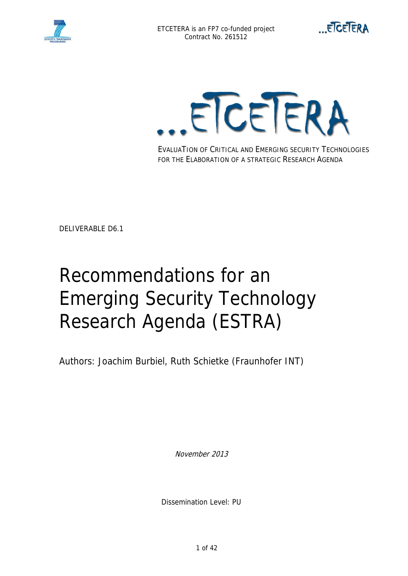





EVALUATION OF CRITICAL AND EMERGING SECURITY TECHNOLOGIES FOR THE ELABORATION OF A STRATEGIC RESEARCH AGENDA

DELIVERABLE D6.1

# Recommendations for an Emerging Security Technology Research Agenda (ESTRA)

Authors: Joachim Burbiel, Ruth Schietke (Fraunhofer INT)

November 2013

Dissemination Level: PU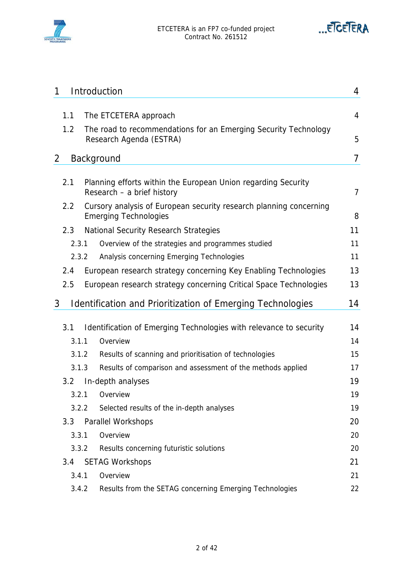



| 1 |       | Introduction                                                                                       | 4              |
|---|-------|----------------------------------------------------------------------------------------------------|----------------|
|   |       |                                                                                                    |                |
|   | 1.1   | The ETCETERA approach                                                                              | 4              |
|   | 1.2   | The road to recommendations for an Emerging Security Technology<br>Research Agenda (ESTRA)         | 5              |
| 2 |       | Background                                                                                         | 7              |
|   |       |                                                                                                    |                |
|   | 2.1   | Planning efforts within the European Union regarding Security<br>Research - a brief history        | $\overline{7}$ |
|   | 2.2   | Cursory analysis of European security research planning concerning<br><b>Emerging Technologies</b> | 8              |
|   | 2.3   | <b>National Security Research Strategies</b>                                                       | 11             |
|   | 2.3.1 | Overview of the strategies and programmes studied                                                  | 11             |
|   | 2.3.2 | Analysis concerning Emerging Technologies                                                          | 11             |
|   | 2.4   | European research strategy concerning Key Enabling Technologies                                    | 13             |
|   | 2.5   | European research strategy concerning Critical Space Technologies                                  | 13             |
| 3 |       | Identification and Prioritization of Emerging Technologies                                         | 14             |
|   |       |                                                                                                    |                |
|   | 3.1   | Identification of Emerging Technologies with relevance to security                                 | 14             |
|   | 3.1.1 | Overview                                                                                           | 14             |
|   | 3.1.2 | Results of scanning and prioritisation of technologies                                             | 15             |
|   | 3.1.3 | Results of comparison and assessment of the methods applied                                        | 17             |
|   | 3.2   | In-depth analyses                                                                                  | 19             |
|   | 3.2.1 | Overview                                                                                           | 19             |
|   | 3.2.2 | Selected results of the in-depth analyses                                                          | 19             |
|   | 3.3   | <b>Parallel Workshops</b>                                                                          | 20             |
|   | 3.3.1 | Overview                                                                                           | 20             |
|   | 3.3.2 | Results concerning futuristic solutions                                                            | 20             |
|   | 3.4   | <b>SETAG Workshops</b>                                                                             | 21             |
|   | 3.4.1 | Overview                                                                                           | 21             |
|   | 3.4.2 | Results from the SETAG concerning Emerging Technologies                                            | 22             |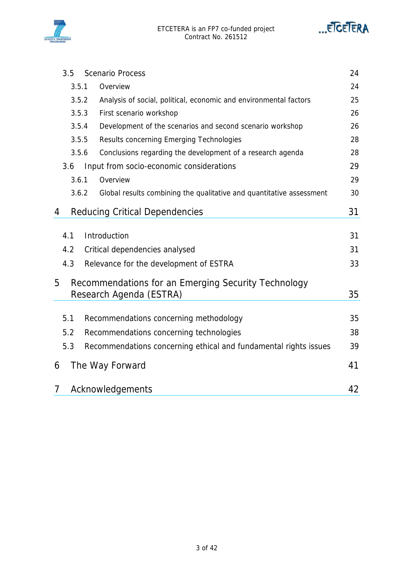



|   | 3.5   | <b>Scenario Process</b>                                              | 24 |
|---|-------|----------------------------------------------------------------------|----|
|   | 3.5.1 | Overview                                                             | 24 |
|   | 3.5.2 | Analysis of social, political, economic and environmental factors    | 25 |
|   | 3.5.3 | First scenario workshop                                              | 26 |
|   | 3.5.4 | Development of the scenarios and second scenario workshop            | 26 |
|   | 3.5.5 | Results concerning Emerging Technologies                             | 28 |
|   | 3.5.6 | Conclusions regarding the development of a research agenda           | 28 |
|   | 3.6   | Input from socio-economic considerations                             | 29 |
|   | 3.6.1 | Overview                                                             | 29 |
|   | 3.6.2 | Global results combining the qualitative and quantitative assessment | 30 |
| 4 |       | <b>Reducing Critical Dependencies</b>                                | 31 |
|   |       |                                                                      |    |
|   | 4.1   | Introduction                                                         | 31 |
|   | 4.2   | Critical dependencies analysed                                       | 31 |
|   | 4.3   | Relevance for the development of ESTRA                               | 33 |
| 5 |       | Recommendations for an Emerging Security Technology                  |    |
|   |       | Research Agenda (ESTRA)                                              | 35 |
|   |       |                                                                      |    |
|   | 5.1   | Recommendations concerning methodology                               | 35 |
|   | 5.2   | Recommendations concerning technologies                              | 38 |
|   | 5.3   | Recommendations concerning ethical and fundamental rights issues     | 39 |
| 6 |       | The Way Forward                                                      | 41 |
| 7 |       | Acknowledgements                                                     | 42 |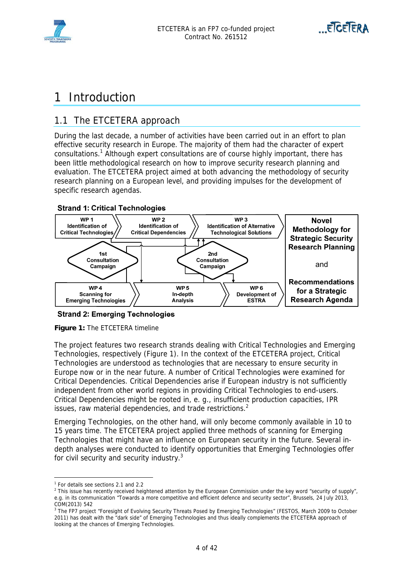



## 1 Introduction

## 1.1 The ETCETERA approach

During the last decade, a number of activities have been carried out in an effort to plan effective security research in Europe. The majority of them had the character of expert consultations.<sup>1</sup> Although expert consultations are of course highly important, there has been little methodological research on how to improve security research planning and evaluation. The ETCETERA project aimed at both advancing the methodology of security research planning on a European level, and providing impulses for the development of specific research agendas.

#### **Strand 1: Critical Technologies**



**Strand 2: Emerging Technologies** 

**Figure 1:** The ETCETERA timeline

The project features two research strands dealing with Critical Technologies and Emerging Technologies, respectively (Figure 1). In the context of the ETCETERA project, Critical Technologies are understood as technologies that are necessary to ensure security in Europe now or in the near future. A number of Critical Technologies were examined for Critical Dependencies. Critical Dependencies arise if European industry is not sufficiently independent from other world regions in providing Critical Technologies to end-users. Critical Dependencies might be rooted in, e. g., insufficient production capacities, IPR issues, raw material dependencies, and trade restrictions.<sup>2</sup>

Emerging Technologies, on the other hand, will only become commonly available in 10 to 15 years time. The ETCETERA project applied three methods of scanning for Emerging Technologies that might have an influence on European security in the future. Several indepth analyses were conducted to identify opportunities that Emerging Technologies offer for civil security and security industry.<sup>3</sup>

 $\overline{a}$ 

<sup>1</sup> For details see sections 2.1 and 2.2

<sup>&</sup>lt;sup>2</sup> This issue has recently received heightened attention by the European Commission under the key word "security of supply", e.g. in its communication "Towards a more competitive and efficient defence and security sector", Brussels, 24 July 2013, COM(2013) 542

<sup>&</sup>lt;sup>3</sup> The FP7 project "Foresight of Evolving Security Threats Posed by Emerging Technologies" (FESTOS, March 2009 to October 2011) has dealt with the "dark side" of Emerging Technologies and thus ideally complements the ETCETERA approach of looking at the chances of Emerging Technologies.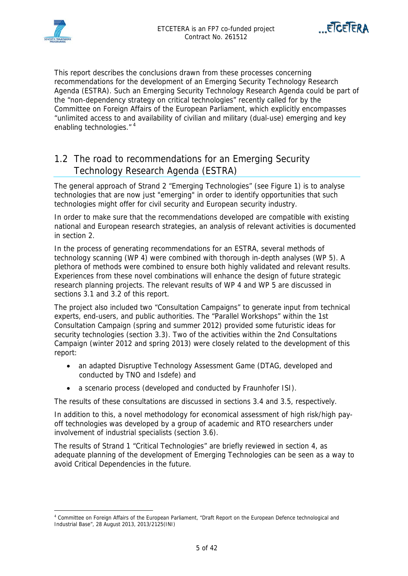



This report describes the conclusions drawn from these processes concerning recommendations for the development of an Emerging Security Technology Research Agenda (ESTRA). Such an Emerging Security Technology Research Agenda could be part of the "non-dependency strategy on critical technologies" recently called for by the Committee on Foreign Affairs of the European Parliament, which explicitly encompasses "unlimited access to and availability of civilian and military (dual-use) emerging and key enabling technologies."<sup>4</sup>

## 1.2 The road to recommendations for an Emerging Security Technology Research Agenda (ESTRA)

The general approach of Strand 2 "Emerging Technologies" (see Figure 1) is to analyse technologies that are now just "emerging" in order to identify opportunities that such technologies might offer for civil security and European security industry.

In order to make sure that the recommendations developed are compatible with existing national and European research strategies, an analysis of relevant activities is documented in section 2.

In the process of generating recommendations for an ESTRA, several methods of technology scanning (WP 4) were combined with thorough in-depth analyses (WP 5). A plethora of methods were combined to ensure both highly validated and relevant results. Experiences from these novel combinations will enhance the design of future strategic research planning projects. The relevant results of WP 4 and WP 5 are discussed in sections 3.1 and 3.2 of this report.

The project also included two "Consultation Campaigns" to generate input from technical experts, end-users, and public authorities. The "Parallel Workshops" within the 1st Consultation Campaign (spring and summer 2012) provided some futuristic ideas for security technologies (section 3.3). Two of the activities within the 2nd Consultations Campaign (winter 2012 and spring 2013) were closely related to the development of this report:

- an adapted Disruptive Technology Assessment Game (DTAG, developed and conducted by TNO and Isdefe) and
- a scenario process (developed and conducted by Fraunhofer ISI).

The results of these consultations are discussed in sections 3.4 and 3.5, respectively.

In addition to this, a novel methodology for economical assessment of high risk/high payoff technologies was developed by a group of academic and RTO researchers under involvement of industrial specialists (section 3.6).

The results of Strand 1 "Critical Technologies" are briefly reviewed in section 4, as adequate planning of the development of Emerging Technologies can be seen as a way to avoid Critical Dependencies in the future.

 $\overline{a}$ 4 Committee on Foreign Affairs of the European Parliament, "Draft Report on the European Defence technological and Industrial Base", 28 August 2013, 2013/2125(INI)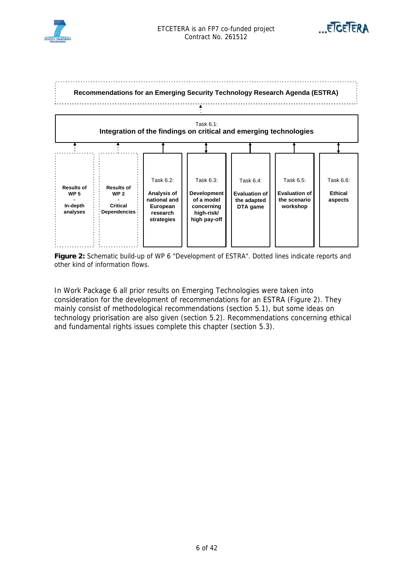





**Figure 2:** Schematic build-up of WP 6 "Development of ESTRA". Dotted lines indicate reports and other kind of information flows.

In Work Package 6 all prior results on Emerging Technologies were taken into consideration for the development of recommendations for an ESTRA (Figure 2). They mainly consist of methodological recommendations (section 5.1), but some ideas on technology priorisation are also given (section 5.2). Recommendations concerning ethical and fundamental rights issues complete this chapter (section 5.3).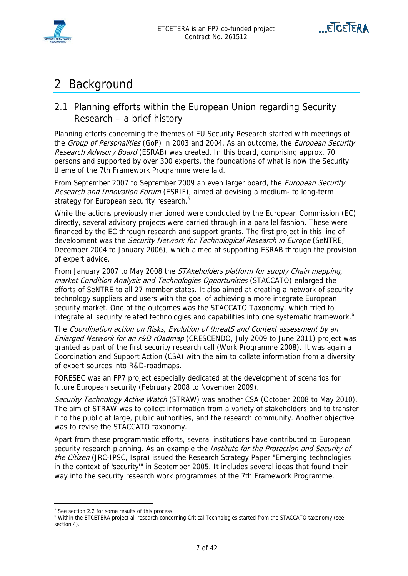



## 2 Background

## 2.1 Planning efforts within the European Union regarding Security Research – a brief history

Planning efforts concerning the themes of EU Security Research started with meetings of the Group of Personalities (GoP) in 2003 and 2004. As an outcome, the European Security Research Advisory Board (ESRAB) was created. In this board, comprising approx. 70 persons and supported by over 300 experts, the foundations of what is now the Security theme of the 7th Framework Programme were laid.

From September 2007 to September 2009 an even larger board, the European Security Research and Innovation Forum (ESRIF), aimed at devising a medium- to long-term strategy for European security research.<sup>5</sup>

While the actions previously mentioned were conducted by the European Commission (EC) directly, several advisory projects were carried through in a parallel fashion. These were financed by the EC through research and support grants. The first project in this line of development was the Security Network for Technological Research in Europe (SeNTRE, December 2004 to January 2006), which aimed at supporting ESRAB through the provision of expert advice.

From January 2007 to May 2008 the *STAkeholders platform for supply Chain mapping*, market Condition Analysis and Technologies Opportunities (STACCATO) enlarged the efforts of SeNTRE to all 27 member states. It also aimed at creating a network of security technology suppliers and users with the goal of achieving a more integrate European security market. One of the outcomes was the STACCATO Taxonomy, which tried to integrate all security related technologies and capabilities into one systematic framework.<sup>6</sup>

The Coordination action on Risks, Evolution of threatS and Context assessment by an Enlarged Network for an r&D rOadmap (CRESCENDO, July 2009 to June 2011) project was granted as part of the first security research call (Work Programme 2008). It was again a Coordination and Support Action (CSA) with the aim to collate information from a diversity of expert sources into R&D-roadmaps.

FORESEC was an FP7 project especially dedicated at the development of scenarios for future European security (February 2008 to November 2009).

Security Technology Active Watch (STRAW) was another CSA (October 2008 to May 2010). The aim of STRAW was to collect information from a variety of stakeholders and to transfer it to the public at large, public authorities, and the research community. Another objective was to revise the STACCATO taxonomy.

Apart from these programmatic efforts, several institutions have contributed to European security research planning. As an example the *Institute for the Protection and Security of* the Citizen (JRC-IPSC, Ispra) issued the Research Strategy Paper "Emerging technologies in the context of 'security'" in September 2005. It includes several ideas that found their way into the security research work programmes of the 7th Framework Programme.

 $\overline{a}$ 

<sup>&</sup>lt;sup>5</sup> See section 2.2 for some results of this process.

<sup>&</sup>lt;sup>6</sup> Within the ETCETERA project all research concerning Critical Technologies started from the STACCATO taxonomy (see section 4).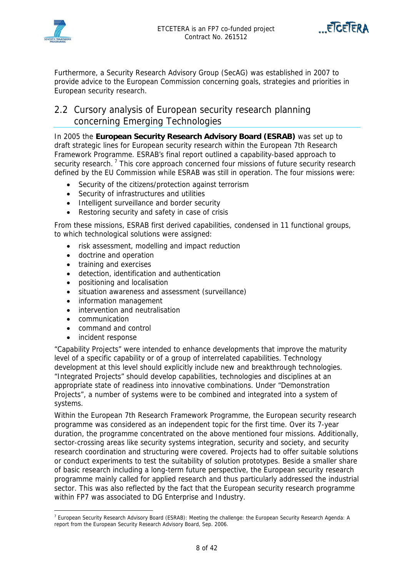



Furthermore, a Security Research Advisory Group (SecAG) was established in 2007 to provide advice to the European Commission concerning goals, strategies and priorities in European security research.

## 2.2 Cursory analysis of European security research planning concerning Emerging Technologies

In 2005 the **European Security Research Advisory Board (ESRAB)** was set up to draft strategic lines for European security research within the European 7th Research Framework Programme. ESRAB's final report outlined a capability-based approach to security research.<sup>7</sup> This core approach concerned four missions of future security research defined by the EU Commission while ESRAB was still in operation. The four missions were:

- Security of the citizens/protection against terrorism
- Security of infrastructures and utilities
- Intelligent surveillance and border security
- Restoring security and safety in case of crisis

From these missions, ESRAB first derived capabilities, condensed in 11 functional groups, to which technological solutions were assigned:

- risk assessment, modelling and impact reduction
- doctrine and operation
- training and exercises
- detection, identification and authentication
- positioning and localisation
- situation awareness and assessment (surveillance)
- information management
- intervention and neutralisation
- communication

 $\overline{a}$ 

- command and control
- incident response

"Capability Projects" were intended to enhance developments that improve the maturity level of a specific capability or of a group of interrelated capabilities. Technology development at this level should explicitly include new and breakthrough technologies. "Integrated Projects" should develop capabilities, technologies and disciplines at an appropriate state of readiness into innovative combinations. Under "Demonstration Projects", a number of systems were to be combined and integrated into a system of systems.

Within the European 7th Research Framework Programme, the European security research programme was considered as an independent topic for the first time. Over its 7-year duration, the programme concentrated on the above mentioned four missions. Additionally, sector-crossing areas like security systems integration, security and society, and security research coordination and structuring were covered. Projects had to offer suitable solutions or conduct experiments to test the suitability of solution prototypes. Beside a smaller share of basic research including a long-term future perspective, the European security research programme mainly called for applied research and thus particularly addressed the industrial sector. This was also reflected by the fact that the European security research programme within FP7 was associated to DG Enterprise and Industry.

<sup>&</sup>lt;sup>7</sup> European Security Research Advisory Board (ESRAB): Meeting the challenge: the European Security Research Agenda: A report from the European Security Research Advisory Board, Sep. 2006.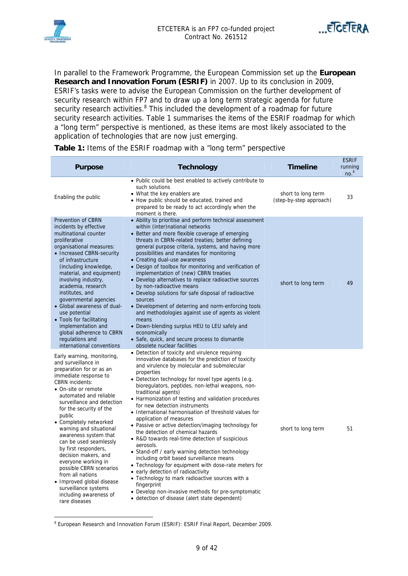



In parallel to the Framework Programme, the European Commission set up the **European Research and Innovation Forum (ESRIF)** in 2007. Up to its conclusion in 2009, ESRIF's tasks were to advise the European Commission on the further development of security research within FP7 and to draw up a long term strategic agenda for future security research activities.<sup>8</sup> This included the development of a roadmap for future security research activities. Table 1 summarises the items of the ESRIF roadmap for which a "long term" perspective is mentioned, as these items are most likely associated to the application of technologies that are now just emerging.

| <b>Purpose</b>                                                                                                                                                                                                                                                                                                                                                                                                                                                                                                                                                                     | <b>Technology</b>                                                                                                                                                                                                                                                                                                                                                                                                                                                                                                                                                                                                                                                                                                                                                                                                                                                                                                                                                                                                       | <b>Timeline</b>                               | <b>ESRIF</b><br>running<br>no <sup>8</sup> |
|------------------------------------------------------------------------------------------------------------------------------------------------------------------------------------------------------------------------------------------------------------------------------------------------------------------------------------------------------------------------------------------------------------------------------------------------------------------------------------------------------------------------------------------------------------------------------------|-------------------------------------------------------------------------------------------------------------------------------------------------------------------------------------------------------------------------------------------------------------------------------------------------------------------------------------------------------------------------------------------------------------------------------------------------------------------------------------------------------------------------------------------------------------------------------------------------------------------------------------------------------------------------------------------------------------------------------------------------------------------------------------------------------------------------------------------------------------------------------------------------------------------------------------------------------------------------------------------------------------------------|-----------------------------------------------|--------------------------------------------|
| Enabling the public                                                                                                                                                                                                                                                                                                                                                                                                                                                                                                                                                                | • Public could be best enabled to actively contribute to<br>such solutions<br>• What the key enablers are<br>• How public should be educated, trained and<br>prepared to be ready to act accordingly when the<br>moment is there.                                                                                                                                                                                                                                                                                                                                                                                                                                                                                                                                                                                                                                                                                                                                                                                       | short to long term<br>(step-by-step approach) | 33                                         |
| <b>Prevention of CBRN</b><br>incidents by effective<br>multinational counter<br>proliferative<br>organisational measures:<br>• Increased CBRN-security<br>of infrastructure<br>(including knowledge,<br>material, and equipment)<br>involving industry,<br>academia, research<br>institutes, and<br>governmental agencies<br>• Global awareness of dual-<br>use potential<br>• Tools for facilitating<br>implementation and<br>global adherence to CBRN<br>regulations and<br>international conventions                                                                            | • Ability to prioritise and perform technical assessment<br>within (inter)national networks<br>• Better and more flexible coverage of emerging<br>threats in CBRN-related treaties; better defining<br>general purpose criteria, systems, and having more<br>possibilities and mandates for monitoring<br>• Creating dual-use awareness<br>• Design of toolbox for monitoring and verification of<br>implementation of (new) CBRN treaties<br>• Develop alternatives to replace radioactive sources<br>by non-radioactive means<br>• Develop solutions for safe disposal of radioactive<br>sources<br>• Development of deterring and norm-enforcing tools<br>and methodologies against use of agents as violent<br>means<br>• Down-blending surplus HEU to LEU safely and<br>economically<br>• Safe, quick, and secure process to dismantle<br>obsolete nuclear facilities                                                                                                                                              | short to long term                            | 49                                         |
| Early warning, monitoring,<br>and surveillance in<br>preparation for or as an<br>immediate response to<br><b>CBRN</b> incidents:<br>• On-site or remote<br>automated and reliable<br>surveillance and detection<br>for the security of the<br>public<br>• Completely networked<br>warning and situational<br>awareness system that<br>can be used seamlessly<br>by first responders,<br>decision makers, and<br>everyone working in<br>possible CBRN scenarios<br>from all nations<br>• Improved global disease<br>surveillance systems<br>including awareness of<br>rare diseases | • Detection of toxicity and virulence requiring<br>innovative databases for the prediction of toxicity<br>and virulence by molecular and submolecular<br>properties<br>· Detection technology for novel type agents (e.g.<br>bioregulators, peptides, non-lethal weapons, non-<br>traditional agents)<br>• Harmonization of testing and validation procedures<br>for new detection instruments<br>• International harmonisation of threshold values for<br>application of measures<br>• Passive or active detection/imaging technology for<br>the detection of chemical hazards<br>• R&D towards real-time detection of suspicious<br>aerosols.<br>• Stand-off / early warning detection technology<br>including orbit based surveillance means<br>• Technology for equipment with dose-rate meters for<br>• early detection of radioactivity<br>• Technology to mark radioactive sources with a<br>fingerprint<br>• Develop non-invasive methods for pre-symptomatic<br>• detection of disease (alert state dependent) | short to long term                            | 51                                         |

**Table 1:** Items of the ESRIF roadmap with a "long term" perspective

<sup>&</sup>lt;sup>8</sup> European Research and Innovation Forum (ESRIF): ESRIF Final Report, December 2009.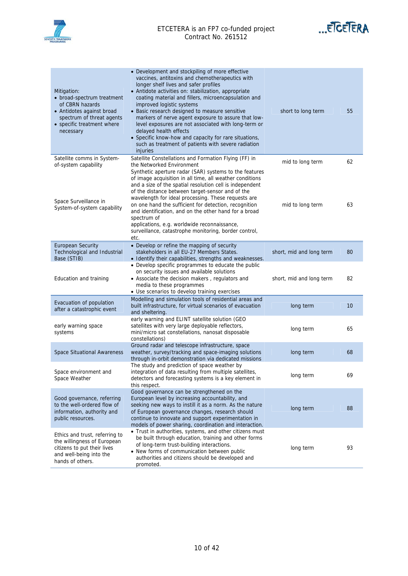

#### ETCETERA is an FP7 co-funded project Contract No. 261512



| Mitigation:<br>• broad-spectrum treatment<br>of CBRN hazards<br>• Antidotes against broad<br>spectrum of threat agents<br>• specific treatment where<br>necessary | • Development and stockpiling of more effective<br>vaccines, antitoxins and chemotherapeutics with<br>longer shelf lives and safer profiles<br>• Antidote activities on: stabilization, appropriate<br>coating material and fillers, microencapsulation and<br>improved logistic systems<br>• Basic research designed to measure sensitive<br>markers of nerve agent exposure to assure that low-<br>level exposures are not associated with long-term or<br>delayed health effects<br>• Specific know-how and capacity for rare situations,<br>such as treatment of patients with severe radiation<br>injuries | short to long term       | 55 |
|-------------------------------------------------------------------------------------------------------------------------------------------------------------------|-----------------------------------------------------------------------------------------------------------------------------------------------------------------------------------------------------------------------------------------------------------------------------------------------------------------------------------------------------------------------------------------------------------------------------------------------------------------------------------------------------------------------------------------------------------------------------------------------------------------|--------------------------|----|
| Satellite comms in System-<br>of-system capability                                                                                                                | Satellite Constellations and Formation Flying (FF) in<br>the Networked Environment<br>Synthetic aperture radar (SAR) systems to the features<br>of image acquisition in all time, all weather conditions                                                                                                                                                                                                                                                                                                                                                                                                        | mid to long term         | 62 |
| Space Surveillance in<br>System-of-system capability                                                                                                              | and a size of the spatial resolution cell is independent<br>of the distance between target-sensor and of the<br>wavelength for ideal processing. These requests are<br>on one hand the sufficient for detection, recognition<br>and identification, and on the other hand for a broad<br>spectrum of<br>applications, e.g. worldwide reconnaissance,<br>surveillance, catastrophe monitoring, border control,<br>etc.                                                                                                                                                                                           | mid to long term         | 63 |
| <b>European Security</b><br>Technological and Industrial<br>Base (STIB)                                                                                           | • Develop or refine the mapping of security<br>stakeholders in all EU-27 Members States.<br>· Identify their capabilities, strengths and weaknesses.                                                                                                                                                                                                                                                                                                                                                                                                                                                            | short, mid and long term | 80 |
| Education and training                                                                                                                                            | • Develop specific programmes to educate the public<br>on security issues and available solutions<br>• Associate the decision makers, regulators and<br>media to these programmes<br>· Use scenarios to develop training exercises                                                                                                                                                                                                                                                                                                                                                                              | short, mid and long term | 82 |
| Evacuation of population<br>after a catastrophic event                                                                                                            | Modelling and simulation tools of residential areas and<br>built infrastructure, for virtual scenarios of evacuation<br>and sheltering.                                                                                                                                                                                                                                                                                                                                                                                                                                                                         | long term                | 10 |
| early warning space<br>systems                                                                                                                                    | early warning and ELINT satellite solution (GEO<br>satellites with very large deployable reflectors,<br>mini/micro sat constellations, nanosat disposable<br>constellations)                                                                                                                                                                                                                                                                                                                                                                                                                                    | long term                | 65 |
| <b>Space Situational Awareness</b>                                                                                                                                | Ground radar and telescope infrastructure, space<br>weather, survey/tracking and space-imaging solutions<br>through in-orbit demonstration via dedicated missions                                                                                                                                                                                                                                                                                                                                                                                                                                               | long term                | 68 |
| Space environment and<br>Space Weather                                                                                                                            | The study and prediction of space weather by<br>integration of data resulting from multiple satellites,<br>detectors and forecasting systems is a key element in<br>this respect.                                                                                                                                                                                                                                                                                                                                                                                                                               | long term                | 69 |
| Good governance, referring<br>to the well-ordered flow of<br>information, authority and<br>public resources.                                                      | Good governance can be strengthened on the<br>European level by increasing accountability, and<br>seeking new ways to instill it as a norm. As the nature<br>of European governance changes, research should<br>continue to innovate and support experimentation in<br>models of power sharing, coordination and interaction.                                                                                                                                                                                                                                                                                   | long term                | 88 |
| Ethics and trust, referring to<br>the willingness of European<br>citizens to put their lives<br>and well-being into the<br>hands of others.                       | • Trust in authorities, systems, and other citizens must<br>be built through education, training and other forms<br>of long-term trust-building interactions.<br>• New forms of communication between public<br>authorities and citizens should be developed and<br>promoted.                                                                                                                                                                                                                                                                                                                                   | long term                | 93 |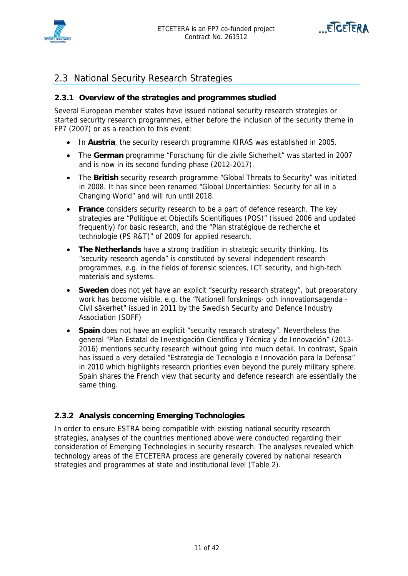



## 2.3 National Security Research Strategies

#### **2.3.1 Overview of the strategies and programmes studied**

Several European member states have issued national security research strategies or started security research programmes, either before the inclusion of the security theme in FP7 (2007) or as a reaction to this event:

- In **Austria**, the security research programme KIRAS was established in 2005.
- The **German** programme "Forschung für die zivile Sicherheit" was started in 2007 and is now in its second funding phase (2012-2017).
- The **British** security research programme "Global Threats to Security" was initiated in 2008. It has since been renamed "Global Uncertainties: Security for all in a Changing World" and will run until 2018.
- **France** considers security research to be a part of defence research. The key strategies are "Politique et Objectifs Scientifiques (POS)" (issued 2006 and updated frequently) for basic research, and the "Plan stratégique de recherche et technologie (PS R&T)" of 2009 for applied research.
- **The Netherlands** have a strong tradition in strategic security thinking. Its "security research agenda" is constituted by several independent research programmes, e.g. in the fields of forensic sciences, ICT security, and high-tech materials and systems.
- **Sweden** does not yet have an explicit "security research strategy", but preparatory work has become visible, e.g. the "Nationell forsknings- och innovationsagenda - Civil säkerhet" issued in 2011 by the Swedish Security and Defence Industry Association (SOFF)
- **Spain** does not have an explicit "security research strategy". Nevertheless the general "Plan Estatal de Investigación Científica y Técnica y de Innovación" (2013- 2016) mentions security research without going into much detail. In contrast, Spain has issued a very detailed "Estrategia de Tecnología e Innovación para la Defensa" in 2010 which highlights research priorities even beyond the purely military sphere. Spain shares the French view that security and defence research are essentially the same thing.

#### **2.3.2 Analysis concerning Emerging Technologies**

In order to ensure ESTRA being compatible with existing national security research strategies, analyses of the countries mentioned above were conducted regarding their consideration of Emerging Technologies in security research. The analyses revealed which technology areas of the ETCETERA process are generally covered by national research strategies and programmes at state and institutional level (Table 2).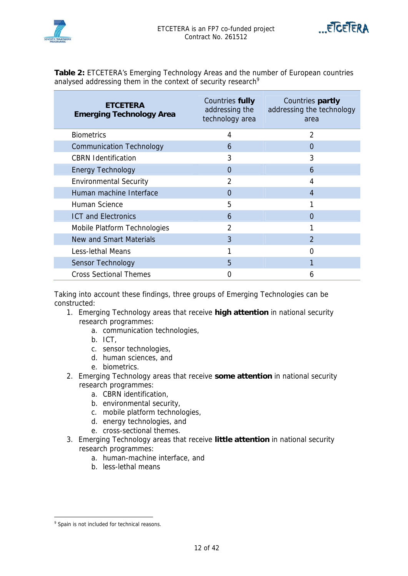



**Table 2:** ETCETERA's Emerging Technology Areas and the number of European countries analysed addressing them in the context of security research<sup>9</sup>

| <b>ETCETERA</b><br><b>Emerging Technology Area</b> | Countries fully<br>addressing the<br>technology area | Countries partly<br>addressing the technology<br>area |
|----------------------------------------------------|------------------------------------------------------|-------------------------------------------------------|
| <b>Biometrics</b>                                  | 4                                                    | $\overline{2}$                                        |
| <b>Communication Technology</b>                    | 6                                                    | $\Omega$                                              |
| <b>CBRN Identification</b>                         | 3                                                    | 3                                                     |
| <b>Energy Technology</b>                           | $\Omega$                                             | 6                                                     |
| <b>Environmental Security</b>                      | $\overline{2}$                                       | 4                                                     |
| Human machine Interface                            | $\Omega$                                             | 4                                                     |
| Human Science                                      | 5                                                    | 1                                                     |
| <b>ICT and Electronics</b>                         | 6                                                    | U                                                     |
| Mobile Platform Technologies                       | $\overline{2}$                                       |                                                       |
| New and Smart Materials                            | 3                                                    | $\mathfrak{D}$                                        |
| Less-lethal Means                                  |                                                      | O                                                     |
| Sensor Technology                                  | 5                                                    |                                                       |
| <b>Cross Sectional Themes</b>                      | ი                                                    | 6                                                     |

Taking into account these findings, three groups of Emerging Technologies can be constructed:

- 1. Emerging Technology areas that receive **high attention** in national security research programmes:
	- a. communication technologies,
	- b. ICT,
	- c. sensor technologies,
	- d. human sciences, and
	- e. biometrics.
- 2. Emerging Technology areas that receive **some attention** in national security research programmes:
	- a. CBRN identification,
	- b. environmental security,
	- c. mobile platform technologies,
	- d. energy technologies, and
	- e. cross-sectional themes.
- 3. Emerging Technology areas that receive **little attention** in national security research programmes:
	- a. human-machine interface, and
	- b. less-lethal means

ersided by Spain is not included for technical reasons.<br>Spain is not included for technical reasons.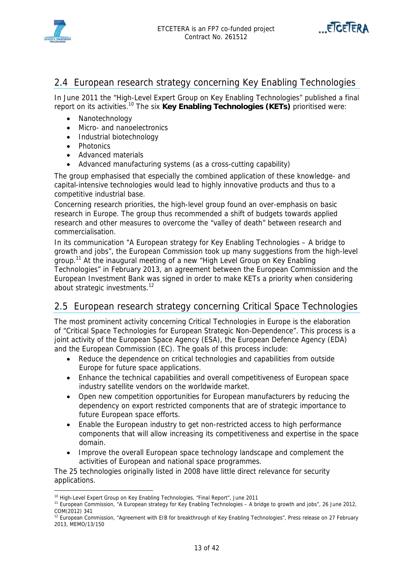



### 2.4 European research strategy concerning Key Enabling Technologies

In June 2011 the "High-Level Expert Group on Key Enabling Technologies" published a final report on its activities.10 The six **Key Enabling Technologies (KETs)** prioritised were:

- Nanotechnology
- Micro- and nanoelectronics
- Industrial biotechnology
- Photonics
- Advanced materials
- Advanced manufacturing systems (as a cross-cutting capability)

The group emphasised that especially the combined application of these knowledge- and capital-intensive technologies would lead to highly innovative products and thus to a competitive industrial base.

Concerning research priorities, the high-level group found an over-emphasis on basic research in Europe. The group thus recommended a shift of budgets towards applied research and other measures to overcome the "valley of death" between research and commercialisation.

In its communication "A European strategy for Key Enabling Technologies – A bridge to growth and jobs", the European Commission took up many suggestions from the high-level group.11 At the inaugural meeting of a new "High Level Group on Key Enabling Technologies" in February 2013, an agreement between the European Commission and the European Investment Bank was signed in order to make KETs a priority when considering about strategic investments.<sup>12</sup>

## 2.5 European research strategy concerning Critical Space Technologies

The most prominent activity concerning Critical Technologies in Europe is the elaboration of "Critical Space Technologies for European Strategic Non-Dependence". This process is a joint activity of the European Space Agency (ESA), the European Defence Agency (EDA) and the European Commission (EC). The goals of this process include:

- Reduce the dependence on critical technologies and capabilities from outside Europe for future space applications.
- Enhance the technical capabilities and overall competitiveness of European space industry satellite vendors on the worldwide market.
- Open new competition opportunities for European manufacturers by reducing the dependency on export restricted components that are of strategic importance to future European space efforts.
- Enable the European industry to get non-restricted access to high performance components that will allow increasing its competitiveness and expertise in the space domain.
- Improve the overall European space technology landscape and complement the activities of European and national space programmes.

The 25 technologies originally listed in 2008 have little direct relevance for security applications.

<sup>&</sup>lt;sup>10</sup> High-Level Expert Group on Key Enabling Technologies, "Final Report", June 2011<br><sup>11</sup> European Commission, "A European strategy for Key Enabling Technologies – A bridge to growth and jobs", 26 June 2012, COM(2012) 341

<sup>&</sup>lt;sup>12</sup> European Commission, "Agreement with EIB for breakthrough of Key Enabling Technologies", Press release on 27 February 2013, MEMO/13/150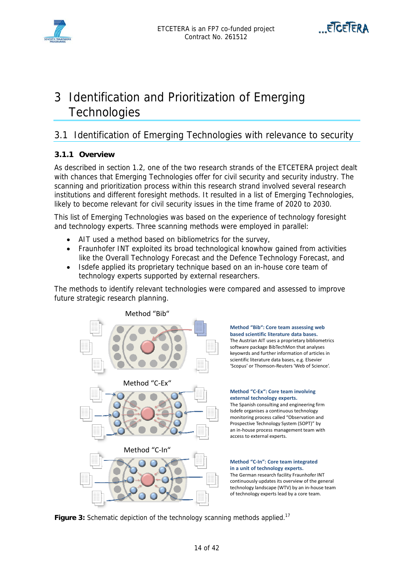



## 3 Identification and Prioritization of Emerging **Technologies**

## 3.1 Identification of Emerging Technologies with relevance to security

#### **3.1.1 Overview**

As described in section 1.2, one of the two research strands of the ETCETERA project dealt with chances that Emerging Technologies offer for civil security and security industry. The scanning and prioritization process within this research strand involved several research institutions and different foresight methods. It resulted in a list of Emerging Technologies, likely to become relevant for civil security issues in the time frame of 2020 to 2030.

This list of Emerging Technologies was based on the experience of technology foresight and technology experts. Three scanning methods were employed in parallel:

- AIT used a method based on bibliometrics for the survey,
- Fraunhofer INT exploited its broad technological knowhow gained from activities like the Overall Technology Forecast and the Defence Technology Forecast, and
- Isdefe applied its proprietary technique based on an in-house core team of technology experts supported by external researchers.

The methods to identify relevant technologies were compared and assessed to improve future strategic research planning.



#### **Method "Bib": Core team assessing web based scientific literature data bases.** The Austrian AIT uses a proprietary bibliometrics software package BibTechMon that analyses keyowrds and further information of articles in scientific literature data bases, e.g. Elsevier

## 'Scopus' or Thomson‐Reuters 'Web of Science'.

#### **Method "C‐Ex": Core team involving external technology experts.**

The Spanish consulting and engineering firm Isdefe organises a continuous technology monitoring process called "Observation and Prospective Technology System (SOPT)" by an in‐house process management team with access to external experts.

#### **Method "C‐In": Core team integrated in a unit of technology experts.**

The German research facility Fraunhofer INT continuously updates its overview of the general technology landscape (WTV) by an in‐house team of technology experts lead by a core team.

**Figure 3:** Schematic depiction of the technology scanning methods applied.<sup>17</sup>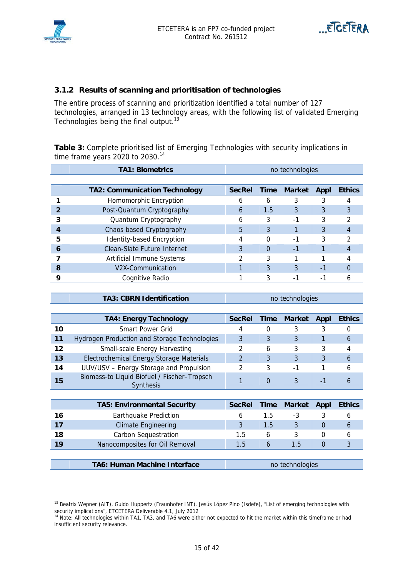



#### **3.1.2 Results of scanning and prioritisation of technologies**

The entire process of scanning and prioritization identified a total number of 127 technologies, arranged in 13 technology areas, with the following list of validated Emerging Technologies being the final output. $13$ 

**Table 3:** Complete prioritised list of Emerging Technologies with security implications in time frame years 2020 to 2030.<sup>14</sup>

|   | <b>TA1: Biometrics</b>               |               |      | no technologies          |      |               |
|---|--------------------------------------|---------------|------|--------------------------|------|---------------|
|   |                                      |               |      |                          |      |               |
|   | <b>TA2: Communication Technology</b> | <b>SecRel</b> | Time | <b>Market</b>            | Appl | <b>Ethics</b> |
|   | Homomorphic Encryption               | n             | 6    | 3                        |      |               |
|   | Post-Quantum Cryptography            | 6             | 1.5  | 3                        | 3    | 3             |
|   | Quantum Cryptography                 | h             | 3    | -1                       | 3    |               |
|   | Chaos based Cryptography             | 5             | 3    |                          |      |               |
|   | <b>Identity-based Encryption</b>     |               | 0    | -1                       | 3    |               |
| 6 | Clean-Slate Future Internet          | 3             | 0    | $-1$                     |      |               |
|   | Artificial Immune Systems            |               | 3    |                          |      |               |
| 8 | V <sub>2</sub> X-Communication       |               | 3    | 3                        | -1   |               |
| g | Cognitive Radio                      |               |      | $\overline{\phantom{0}}$ |      |               |

**TA3: CBRN Identification no technologies** 

|    | <b>TA4: Energy Technology</b>                                   | <b>SecRel</b> | Time | <b>Market</b> | Appl | <b>Ethics</b> |
|----|-----------------------------------------------------------------|---------------|------|---------------|------|---------------|
| 10 | <b>Smart Power Grid</b>                                         |               |      |               |      |               |
| 11 | Hydrogen Production and Storage Technologies                    |               |      |               |      | b             |
| 12 | <b>Small-scale Energy Harvesting</b>                            |               | 6    | 3             |      |               |
| 13 | Electrochemical Energy Storage Materials                        |               |      | 3             |      | 6             |
| 14 | UUV/USV - Energy Storage and Propulsion                         |               | 3    | -1            |      | h             |
| 15 | Biomass-to Liquid Biofuel / Fischer-Tropsch<br><b>Synthesis</b> |               |      |               | - 1  | 6             |

|    | <b>TA5: Environmental Security</b> | <b>SecRel</b> |     | Time Market | Appl | <b>Ethics</b> |
|----|------------------------------------|---------------|-----|-------------|------|---------------|
| 16 | <b>Earthquake Prediction</b>       |               | 1.5 | -3          |      |               |
| 17 | <b>Climate Engineering</b>         |               | 1.5 |             |      |               |
| 18 | <b>Carbon Sequestration</b>        | 1.5           |     |             |      |               |
|    | Nanocomposites for Oil Removal     | 1 5           |     | 1.5         |      |               |
|    |                                    |               |     |             |      |               |

#### **TA6: Human Machine Interface no technologies**

<sup>&</sup>lt;sup>13</sup> Beatrix Wepner (AIT), Guido Huppertz (Fraunhofer INT), Jesús López Pino (Isdefe), "List of emerging technologies with security implications", ETCETERA Deliverable 4.1, July 2012<br><sup>14</sup> Note: All technologies within TA1, TA3, and TA6 were either not expected to hit the market within this timeframe or had

insufficient security relevance.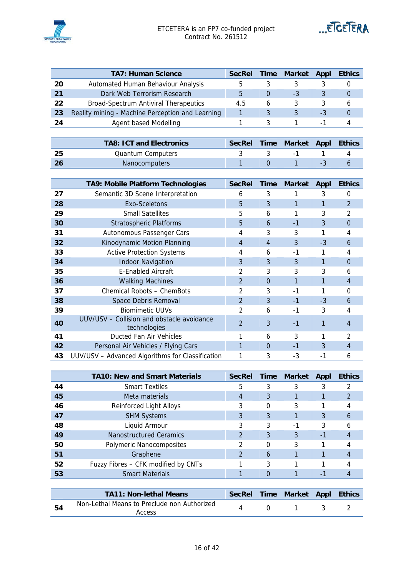



|    | <b>TA7: Human Science</b>                        | <b>SecRel</b> | <b>Time</b> | Market | Appl                     | <b>Ethics</b> |
|----|--------------------------------------------------|---------------|-------------|--------|--------------------------|---------------|
| 20 | Automated Human Behaviour Analysis               | 5             |             |        |                          |               |
| 21 | Dark Web Terrorism Research                      | 5             |             | -3     |                          |               |
| 22 | <b>Broad-Spectrum Antiviral Therapeutics</b>     | 4.5           | b           |        |                          |               |
| 23 | Reality mining - Machine Perception and Learning |               |             |        | -3                       |               |
| 24 | Agent based Modelling                            |               |             |        | $\overline{\phantom{a}}$ |               |

|      | <b>TA8: ICT and Electronics</b> |  | SecRel Time Market Appl Ethics |  |
|------|---------------------------------|--|--------------------------------|--|
| - 25 | Quantum Computers               |  |                                |  |
| -26  | <b>Nanocomputers</b>            |  |                                |  |

|    | TA9: Mobile Platform Technologies                          | <b>SecRel</b>  | <b>Time</b> | <b>Market</b> | <b>Appl</b> | <b>Ethics</b>  |
|----|------------------------------------------------------------|----------------|-------------|---------------|-------------|----------------|
| 27 | Semantic 3D Scene Interpretation                           | 6              | 3           | 1             | 3           | 0              |
| 28 | Exo-Sceletons                                              | 5              | 3           | 1             | 1           | $\overline{2}$ |
| 29 | <b>Small Satellites</b>                                    | 5              | 6           | 1             | 3           | 2              |
| 30 | <b>Stratospheric Platforms</b>                             | 5              | 6           | $-1$          | 3           | $\Omega$       |
| 31 | Autonomous Passenger Cars                                  | 4              | 3           | 3             | 1           | 4              |
| 32 | Kinodynamic Motion Planning                                | 4              | 4           | 3             | $-3$        | 6              |
| 33 | <b>Active Protection Systems</b>                           | 4              | 6           | $-1$          | 1           | 4              |
| 34 | <b>Indoor Navigation</b>                                   | 3              | 3           | 3             | 1           | $\Omega$       |
| 35 | <b>E-Enabled Aircraft</b>                                  | 2              | 3           | 3             | 3           | 6              |
| 36 | <b>Walking Machines</b>                                    | 2              | $\Omega$    | 1             | 1           | 4              |
| 37 | Chemical Robots - ChemBots                                 | 2              | 3           | $-1$          |             | 0              |
| 38 | Space Debris Removal                                       | $\overline{2}$ | 3           | $-1$          | $-3$        | 6              |
| 39 | <b>Biomimetic UUVs</b>                                     | 2              | 6           | $-1$          | 3           | 4              |
| 40 | UUV/USV - Collision and obstacle avoidance<br>technologies | $\overline{2}$ | 3           | $-1$          | 1           | 4              |
| 41 | Ducted Fan Air Vehicles                                    |                | 6           | 3             | 1           | 2              |
| 42 | Personal Air Vehicles / Flying Cars                        | 1              | $\Omega$    | $-1$          | 3           | 4              |
| 43 | UUV/USV - Advanced Algorithms for Classification           | 1              | 3           | -3            | $-1$        | 6              |

|    | <b>TA10: New and Smart Materials</b> | <b>SecRel</b> | <b>Time</b> | <b>Market</b> | <b>Appl</b> | <b>Ethics</b> |
|----|--------------------------------------|---------------|-------------|---------------|-------------|---------------|
| 44 | <b>Smart Textiles</b>                | 5             | 3           | 3             | 3           | າ             |
| 45 | Meta materials                       | 4             | 3           |               |             | 2             |
| 46 | Reinforced Light Alloys              | 3             | $\Omega$    | 3             |             |               |
| 47 | <b>SHM Systems</b>                   | 3             | 3           |               | 3           | 6             |
| 48 | Liquid Armour                        | 3             | 3           | $-1$          | 3           | h             |
| 49 | <b>Nanostructured Ceramics</b>       | 2             | 3           | 3             | -1          | 4             |
| 50 | Polymeric Nanocomposites             | 2             | $\Omega$    | 3             |             |               |
| 51 | Graphene                             |               | 6           |               |             | 4             |
| 52 | Fuzzy Fibres - CFK modified by CNTs  |               | 3           |               |             |               |
| 53 | <b>Smart Materials</b>               |               |             |               | ٠           |               |
|    |                                      |               |             |               |             |               |

|    | <b>TA11: Non-lethal Means</b>                         |  | SecRel Time Market Appl Ethics |  |
|----|-------------------------------------------------------|--|--------------------------------|--|
| 54 | Non-Lethal Means to Preclude non Authorized<br>Access |  |                                |  |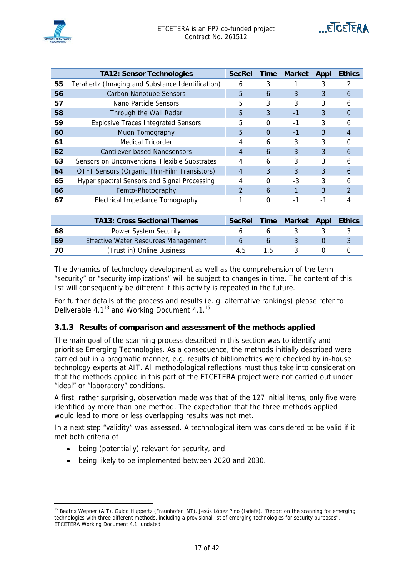

|    | <b>TA12: Sensor Technologies</b>                 | <b>SecRel</b> | Time     | <b>Market</b> | Appl | <b>Ethics</b> |
|----|--------------------------------------------------|---------------|----------|---------------|------|---------------|
| 55 | Terahertz (Imaging and Substance Identification) | 6             | 3        |               |      |               |
| 56 | Carbon Nanotube Sensors                          | 5             | 6        | 3             | 3    | 6             |
| 57 | Nano Particle Sensors                            | 5             | 3        | 3             | 3    | 6             |
| 58 | Through the Wall Radar                           | 5             | 3        | $-1$          | 3    | 0             |
| 59 | <b>Explosive Traces Integrated Sensors</b>       | 5             | O        | -1            | 3    | n             |
| 60 | Muon Tomography                                  | 5             | $\Omega$ | $-1$          | 3    | 4             |
| 61 | Medical Tricorder                                | 4             | 6        | 3             | 3    |               |
| 62 | Cantilever-based Nanosensors                     | 4             | 6        | 3             | 3    | h             |
| 63 | Sensors on Unconventional Flexible Substrates    | 4             | 6        | 3             | 3    | 6             |
| 64 | OTFT Sensors (Organic Thin-Film Transistors)     | 4             | 3        | 3             | 3    | 6             |
| 65 | Hyper spectral Sensors and Signal Processing     | 4             | 0        | $-3$          | 3    | 6             |
| 66 | Femto-Photography                                | $\mathcal{P}$ | 6        |               | 3    | $\mathcal{P}$ |
| 67 | Electrical Impedance Tomography                  |               | 0        | -1            | -1   |               |

|    | <b>TA13: Cross Sectional Themes</b>  |     |     | SecRel Time Market Appl | <b>Ethics</b> |
|----|--------------------------------------|-----|-----|-------------------------|---------------|
| 68 | Power System Security                |     |     |                         |               |
| 69 | Effective Water Resources Management |     |     |                         |               |
| 70 | (Trust in) Online Business           | 4 ካ | 1.5 |                         |               |

The dynamics of technology development as well as the comprehension of the term "security" or "security implications" will be subject to changes in time. The content of this list will consequently be different if this activity is repeated in the future.

For further details of the process and results (e. g. alternative rankings) please refer to Deliverable 4.1<sup>13</sup> and Working Document 4.1.<sup>15</sup>

#### **3.1.3 Results of comparison and assessment of the methods applied**

The main goal of the scanning process described in this section was to identify and prioritise Emerging Technologies. As a consequence, the methods initially described were carried out in a pragmatic manner, e.g. results of bibliometrics were checked by in-house technology experts at AIT. All methodological reflections must thus take into consideration that the methods applied in this part of the ETCETERA project were not carried out under "ideal" or "laboratory" conditions.

A first, rather surprising, observation made was that of the 127 initial items, only five were identified by more than one method. The expectation that the three methods applied would lead to more or less overlapping results was not met.

In a next step "validity" was assessed. A technological item was considered to be valid if it met both criteria of

- being (potentially) relevant for security, and
- being likely to be implemented between 2020 and 2030.

<sup>&</sup>lt;sup>15</sup> Beatrix Wepner (AIT), Guido Huppertz (Fraunhofer INT), Jesús López Pino (Isdefe), "Report on the scanning for emerging technologies with three different methods, including a provisional list of emerging technologies for security purposes", ETCETERA Working Document 4.1, undated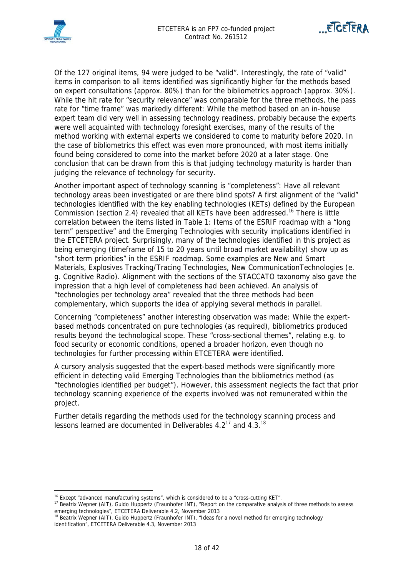



Of the 127 original items, 94 were judged to be "valid". Interestingly, the rate of "valid" items in comparison to all items identified was significantly higher for the methods based on expert consultations (approx. 80%) than for the bibliometrics approach (approx. 30%). While the hit rate for "security relevance" was comparable for the three methods, the pass rate for "time frame" was markedly different: While the method based on an in-house expert team did very well in assessing technology readiness, probably because the experts were well acquainted with technology foresight exercises, many of the results of the method working with external experts we considered to come to maturity before 2020. In the case of bibliometrics this effect was even more pronounced, with most items initially found being considered to come into the market before 2020 at a later stage. One conclusion that can be drawn from this is that judging technology maturity is harder than judging the relevance of technology for security.

Another important aspect of technology scanning is "completeness": Have all relevant technology areas been investigated or are there blind spots? A first alignment of the "valid" technologies identified with the key enabling technologies (KETs) defined by the European Commission (section 2.4) revealed that all KETs have been addressed.<sup>16</sup> There is little correlation between the items listed in Table 1: Items of the ESRIF roadmap with a "long term" perspective" and the Emerging Technologies with security implications identified in the ETCETERA project. Surprisingly, many of the technologies identified in this project as being emerging (timeframe of 15 to 20 years until broad market availability) show up as "short term priorities" in the ESRIF roadmap. Some examples are New and Smart Materials, Explosives Tracking/Tracing Technologies, New CommunicationTechnologies (e. g. Cognitive Radio). Alignment with the sections of the STACCATO taxonomy also gave the impression that a high level of completeness had been achieved. An analysis of "technologies per technology area" revealed that the three methods had been complementary, which supports the idea of applying several methods in parallel.

Concerning "completeness" another interesting observation was made: While the expertbased methods concentrated on pure technologies (as required), bibliometrics produced results beyond the technological scope. These "cross-sectional themes", relating e.g. to food security or economic conditions, opened a broader horizon, even though no technologies for further processing within ETCETERA were identified.

A cursory analysis suggested that the expert-based methods were significantly more efficient in detecting valid Emerging Technologies than the bibliometrics method (as "technologies identified per budget"). However, this assessment neglects the fact that prior technology scanning experience of the experts involved was not remunerated within the project.

Further details regarding the methods used for the technology scanning process and lessons learned are documented in Deliverables  $4.2^{17}$  and  $4.3^{18}$ 

<sup>&</sup>lt;sup>16</sup> Except "advanced manufacturing systems", which is considered to be a "cross-cutting KET".

<sup>&</sup>lt;sup>17</sup> Beatrix Wepner (AIT), Guido Huppertz (Fraunhofer INT), "Report on the comparative analysis of three methods to assess<br>emerging technologies", ETCETERA Deliverable 4.2, November 2013

<sup>&</sup>lt;sup>18</sup> Beatrix Wepner (AIT), Guido Huppertz (Fraunhofer INT), "Ideas for a novel method for emerging technology identification", ETCETERA Deliverable 4.3, November 2013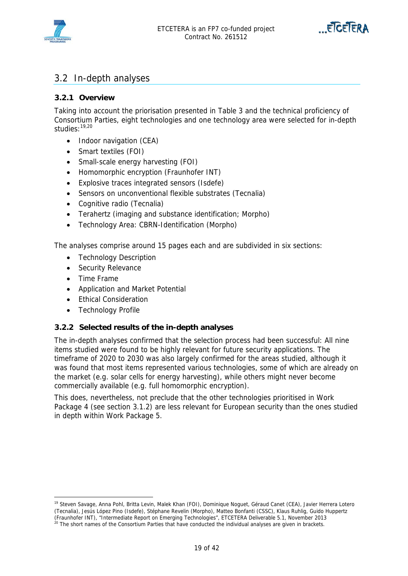



### 3.2 In-depth analyses

#### **3.2.1 Overview**

Taking into account the priorisation presented in Table 3 and the technical proficiency of Consortium Parties, eight technologies and one technology area were selected for in-depth studies: 19,20

- Indoor navigation (CEA)
- Smart textiles (FOI)
- Small-scale energy harvesting (FOI)
- Homomorphic encryption (Fraunhofer INT)
- Explosive traces integrated sensors (Isdefe)
- Sensors on unconventional flexible substrates (Tecnalia)
- Cognitive radio (Tecnalia)
- Terahertz (imaging and substance identification; Morpho)
- Technology Area: CBRN-Identification (Morpho)

The analyses comprise around 15 pages each and are subdivided in six sections:

- Technology Description
- Security Relevance
- Time Frame
- Application and Market Potential
- Ethical Consideration
- Technology Profile

#### **3.2.2 Selected results of the in-depth analyses**

The in-depth analyses confirmed that the selection process had been successful: All nine items studied were found to be highly relevant for future security applications. The timeframe of 2020 to 2030 was also largely confirmed for the areas studied, although it was found that most items represented various technologies, some of which are already on the market (e.g. solar cells for energy harvesting), while others might never become commercially available (e.g. full homomorphic encryption).

This does, nevertheless, not preclude that the other technologies prioritised in Work Package 4 (see section 3.1.2) are less relevant for European security than the ones studied in depth within Work Package 5.

 $\overline{a}$ 19 Steven Savage, Anna Pohl, Britta Levin, Malek Khan (FOI), Dominique Noguet, Géraud Canet (CEA), Javier Herrera Lotero (Tecnalia), Jesús López Pino (Isdefe), Stéphane Revelin (Morpho), Matteo Bonfanti (CSSC), Klaus Ruhlig, Guido Huppertz

<sup>(</sup>Fraunhofer INT), "Intermediate Report on Emerging Technologies", ETCETERA Deliverable 5.1, November 2013 20 The short names of the Consortium Parties that have conducted the individual analyses are given in brackets.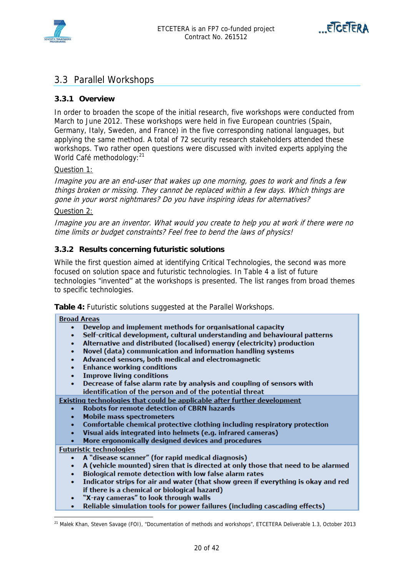



### 3.3 Parallel Workshops

#### **3.3.1 Overview**

In order to broaden the scope of the initial research, five workshops were conducted from March to June 2012. These workshops were held in five European countries (Spain, Germany, Italy, Sweden, and France) in the five corresponding national languages, but applying the same method. A total of 72 security research stakeholders attended these workshops. Two rather open questions were discussed with invited experts applying the World Café methodology: <sup>21</sup>

#### Question 1:

Imagine you are an end-user that wakes up one morning, goes to work and finds a few things broken or missing. They cannot be replaced within a few days. Which things are gone in your worst nightmares? Do you have inspiring ideas for alternatives?

#### Question 2:

Imagine you are an inventor. What would you create to help you at work if there were no time limits or budget constraints? Feel free to bend the laws of physics!

#### **3.3.2 Results concerning futuristic solutions**

While the first question aimed at identifying Critical Technologies, the second was more focused on solution space and futuristic technologies. In Table 4 a list of future technologies "invented" at the workshops is presented. The list ranges from broad themes to specific technologies.

**Table 4:** Futuristic solutions suggested at the Parallel Workshops.

#### **Broad Areas**

- Develop and implement methods for organisational capacity
- Self-critical development, cultural understanding and behavioural patterns
- Alternative and distributed (localised) energy (electricity) production
- Novel (data) communication and information handling systems
- Advanced sensors, both medical and electromagnetic
- **Enhance working conditions**
- **Improve living conditions**
- Decrease of false alarm rate by analysis and coupling of sensors with identification of the person and of the potential threat

Existing technologies that could be applicable after further development

- Robots for remote detection of CBRN hazards
- **Mobile mass spectrometers**
- Comfortable chemical protective clothing including respiratory protection
- Visual aids integrated into helmets (e.g. infrared cameras)
- More ergonomically designed devices and procedures

**Futuristic technologies** 

 $\overline{a}$ 

- A "disease scanner" (for rapid medical diagnosis)
- A (vehicle mounted) siren that is directed at only those that need to be alarmed
- Biological remote detection with low false alarm rates
- Indicator strips for air and water (that show green if everything is okay and red if there is a chemical or biological hazard)
- "X-ray cameras" to look through walls
- Reliable simulation tools for power failures (including cascading effects)

<sup>21</sup> Malek Khan, Steven Savage (FOI), "Documentation of methods and workshops", ETCETERA Deliverable 1.3, October 2013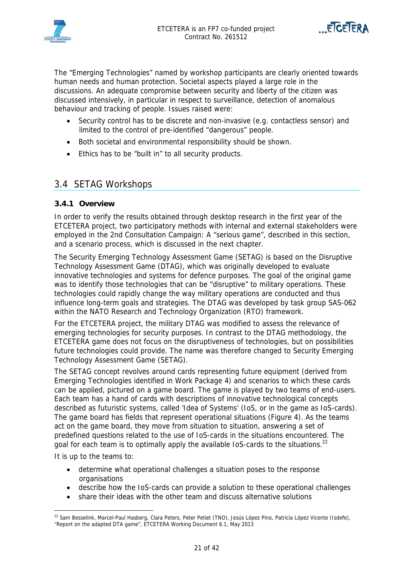



The "Emerging Technologies" named by workshop participants are clearly oriented towards human needs and human protection. Societal aspects played a large role in the discussions. An adequate compromise between security and liberty of the citizen was discussed intensively, in particular in respect to surveillance, detection of anomalous behaviour and tracking of people. Issues raised were:

- Security control has to be discrete and non-invasive (e.g. contactless sensor) and limited to the control of pre-identified "dangerous" people.
- Both societal and environmental responsibility should be shown.
- Ethics has to be "built in" to all security products.

### 3.4 SETAG Workshops

#### **3.4.1 Overview**

In order to verify the results obtained through desktop research in the first year of the ETCETERA project, two participatory methods with internal and external stakeholders were employed in the 2nd Consultation Campaign: A "serious game", described in this section, and a scenario process, which is discussed in the next chapter.

The Security Emerging Technology Assessment Game (SETAG) is based on the Disruptive Technology Assessment Game (DTAG), which was originally developed to evaluate innovative technologies and systems for defence purposes. The goal of the original game was to identify those technologies that can be "disruptive" to military operations. These technologies could rapidly change the way military operations are conducted and thus influence long-term goals and strategies. The DTAG was developed by task group SAS-062 within the NATO Research and Technology Organization (RTO) framework.

For the ETCETERA project, the military DTAG was modified to assess the relevance of emerging technologies for security purposes. In contrast to the DTAG methodology, the ETCETERA game does not focus on the disruptiveness of technologies, but on possibilities future technologies could provide. The name was therefore changed to Security Emerging Technology Assessment Game (SETAG).

The SETAG concept revolves around cards representing future equipment (derived from Emerging Technologies identified in Work Package 4) and scenarios to which these cards can be applied, pictured on a game board. The game is played by two teams of end-users. Each team has a hand of cards with descriptions of innovative technological concepts described as futuristic systems, called 'Idea of Systems' (IoS, or in the game as IoS-cards). The game board has fields that represent operational situations (Figure 4). As the teams act on the game board, they move from situation to situation, answering a set of predefined questions related to the use of IoS-cards in the situations encountered. The goal for each team is to optimally apply the available  $10S$ -cards to the situations.<sup>22</sup>

It is up to the teams to:

- determine what operational challenges a situation poses to the response organisations
- describe how the IoS-cards can provide a solution to these operational challenges
- share their ideas with the other team and discuss alternative solutions

 $\overline{a}$ <sup>22</sup> Sam Besselink, Marcel-Paul Hasberg, Clara Peters, Peter Petiet (TNO), Jesús López Pino, Patricia López Vicente (Isdefe), "Report on the adapted DTA game", ETCETERA Working Document 6.1, May 2013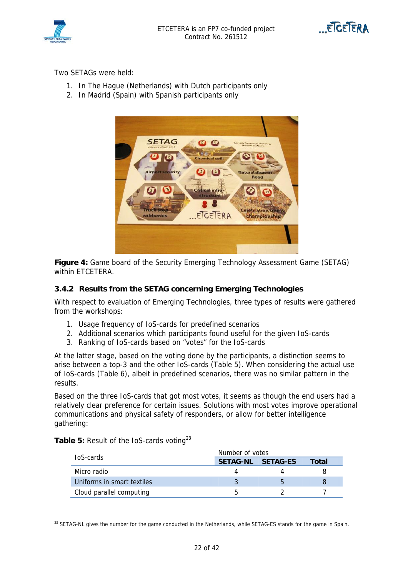



Two SETAGs were held:

- 1. In The Hague (Netherlands) with Dutch participants only
- 2. In Madrid (Spain) with Spanish participants only



**Figure 4:** Game board of the Security Emerging Technology Assessment Game (SETAG) within ETCETERA.

#### **3.4.2 Results from the SETAG concerning Emerging Technologies**

With respect to evaluation of Emerging Technologies, three types of results were gathered from the workshops:

- 1. Usage frequency of IoS-cards for predefined scenarios
- 2. Additional scenarios which participants found useful for the given IoS-cards
- 3. Ranking of IoS-cards based on "votes" for the IoS-cards

At the latter stage, based on the voting done by the participants, a distinction seems to arise between a top-3 and the other IoS-cards (Table 5). When considering the actual use of IoS-cards (Table 6), albeit in predefined scenarios, there was no similar pattern in the results.

Based on the three IoS-cards that got most votes, it seems as though the end users had a relatively clear preference for certain issues. Solutions with most votes improve operational communications and physical safety of responders, or allow for better intelligence gathering:

| <b>IoS-cards</b>           | Number of votes |                   |       |  |  |
|----------------------------|-----------------|-------------------|-------|--|--|
|                            |                 | SETAG-NL SETAG-ES | Total |  |  |
| Micro radio                |                 |                   |       |  |  |
| Uniforms in smart textiles |                 | $\mathbf{b}$      |       |  |  |
| Cloud parallel computing   |                 |                   |       |  |  |

Table 5: Result of the IoS-cards voting<sup>23</sup>

 $\overline{a}$ 

 $^{23}$  SETAG-NL gives the number for the game conducted in the Netherlands, while SETAG-ES stands for the game in Spain.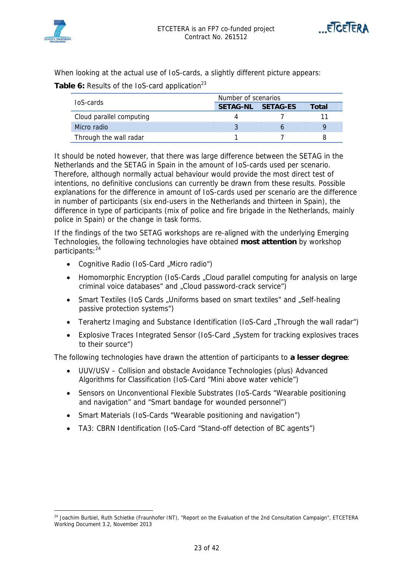



When looking at the actual use of IoS-cards, a slightly different picture appears:

Table 6: Results of the IoS-card application<sup>23</sup>

| <b>IoS-cards</b>         | Number of scenarios |          |       |  |  |
|--------------------------|---------------------|----------|-------|--|--|
|                          | <b>SETAG-NL</b>     | SETAG-ES | Total |  |  |
| Cloud parallel computing |                     |          |       |  |  |
| Micro radio              |                     |          |       |  |  |
| Through the wall radar   |                     |          |       |  |  |

It should be noted however, that there was large difference between the SETAG in the Netherlands and the SETAG in Spain in the amount of IoS-cards used per scenario. Therefore, although normally actual behaviour would provide the most direct test of intentions, no definitive conclusions can currently be drawn from these results. Possible explanations for the difference in amount of IoS-cards used per scenario are the difference in number of participants (six end-users in the Netherlands and thirteen in Spain), the difference in type of participants (mix of police and fire brigade in the Netherlands, mainly police in Spain) or the change in task forms.

If the findings of the two SETAG workshops are re-aligned with the underlying Emerging Technologies, the following technologies have obtained **most attention** by workshop participants: <sup>24</sup>

- Cognitive Radio (IoS-Card "Micro radio")
- Homomorphic Encryption (IoS-Cards "Cloud parallel computing for analysis on large criminal voice databases" and "Cloud password-crack service")
- Smart Textiles (IoS Cards "Uniforms based on smart textiles" and "Self-healing passive protection systems")
- Terahertz Imaging and Substance Identification (IoS-Card "Through the wall radar")
- Explosive Traces Integrated Sensor (IoS-Card "System for tracking explosives traces to their source")

The following technologies have drawn the attention of participants to **a lesser degree**:

- UUV/USV Collision and obstacle Avoidance Technologies (plus) Advanced Algorithms for Classification (IoS-Card "Mini above water vehicle")
- Sensors on Unconventional Flexible Substrates (IoS-Cards "Wearable positioning and navigation" and "Smart bandage for wounded personnel")
- Smart Materials (IoS-Cards "Wearable positioning and navigation")
- TA3: CBRN Identification (IoS-Card "Stand-off detection of BC agents")

<sup>&</sup>lt;sup>24</sup> Joachim Burbiel, Ruth Schietke (Fraunhofer INT), "Report on the Evaluation of the 2nd Consultation Campaign", ETCETERA Working Document 3.2, November 2013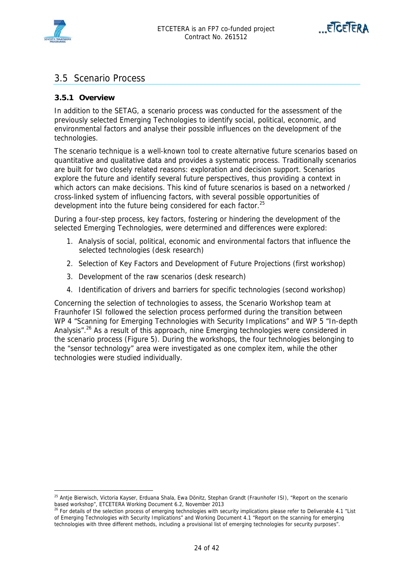



### 3.5 Scenario Process

#### **3.5.1 Overview**

In addition to the SETAG, a scenario process was conducted for the assessment of the previously selected Emerging Technologies to identify social, political, economic, and environmental factors and analyse their possible influences on the development of the technologies.

The scenario technique is a well-known tool to create alternative future scenarios based on quantitative and qualitative data and provides a systematic process. Traditionally scenarios are built for two closely related reasons: exploration and decision support. Scenarios explore the future and identify several future perspectives, thus providing a context in which actors can make decisions. This kind of future scenarios is based on a networked / cross-linked system of influencing factors, with several possible opportunities of development into the future being considered for each factor.<sup>25</sup>

During a four-step process, key factors, fostering or hindering the development of the selected Emerging Technologies, were determined and differences were explored:

- 1. Analysis of social, political, economic and environmental factors that influence the selected technologies (desk research)
- 2. Selection of Key Factors and Development of Future Projections (first workshop)
- 3. Development of the raw scenarios (desk research)
- 4. Identification of drivers and barriers for specific technologies (second workshop)

Concerning the selection of technologies to assess, the Scenario Workshop team at Fraunhofer ISI followed the selection process performed during the transition between WP 4 "Scanning for Emerging Technologies with Security Implications" and WP 5 "In-depth Analysis".<sup>26</sup> As a result of this approach, nine Emerging technologies were considered in the scenario process (Figure 5). During the workshops, the four technologies belonging to the "sensor technology" area were investigated as one complex item, while the other technologies were studied individually.

<sup>&</sup>lt;sup>25</sup> Antje Bierwisch, Victoria Kayser, Erduana Shala, Ewa Dönitz, Stephan Grandt (Fraunhofer ISI), "Report on the scenario based workshop", ETCETERA Working Document 6.2, November 2013<br><sup>26</sup> For details of the selection process of emerging technologies with security implications please refer to Deliverable 4.1 "List

of Emerging Technologies with Security Implications" and Working Document 4.1 "Report on the scanning for emerging technologies with three different methods, including a provisional list of emerging technologies for security purposes".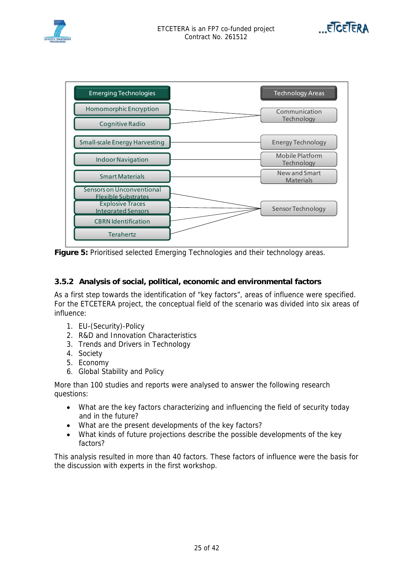





**Figure 5:** Prioritised selected Emerging Technologies and their technology areas.

#### **3.5.2 Analysis of social, political, economic and environmental factors**

As a first step towards the identification of "key factors", areas of influence were specified. For the ETCETERA project, the conceptual field of the scenario was divided into six areas of influence:

- 1. EU-(Security)-Policy
- 2. R&D and Innovation Characteristics
- 3. Trends and Drivers in Technology
- 4. Society
- 5. Economy
- 6. Global Stability and Policy

More than 100 studies and reports were analysed to answer the following research questions:

- What are the key factors characterizing and influencing the field of security today and in the future?
- What are the present developments of the key factors?
- What kinds of future projections describe the possible developments of the key factors?

This analysis resulted in more than 40 factors. These factors of influence were the basis for the discussion with experts in the first workshop.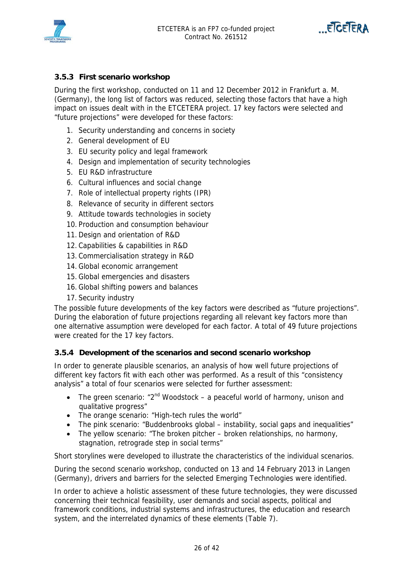



#### **3.5.3 First scenario workshop**

During the first workshop, conducted on 11 and 12 December 2012 in Frankfurt a. M. (Germany), the long list of factors was reduced, selecting those factors that have a high impact on issues dealt with in the ETCETERA project. 17 key factors were selected and "future projections" were developed for these factors:

- 1. Security understanding and concerns in society
- 2. General development of EU
- 3. EU security policy and legal framework
- 4. Design and implementation of security technologies
- 5. EU R&D infrastructure
- 6. Cultural influences and social change
- 7. Role of intellectual property rights (IPR)
- 8. Relevance of security in different sectors
- 9. Attitude towards technologies in society
- 10. Production and consumption behaviour
- 11. Design and orientation of R&D
- 12. Capabilities & capabilities in R&D
- 13. Commercialisation strategy in R&D
- 14. Global economic arrangement
- 15. Global emergencies and disasters
- 16. Global shifting powers and balances
- 17. Security industry

The possible future developments of the key factors were described as "future projections". During the elaboration of future projections regarding all relevant key factors more than one alternative assumption were developed for each factor. A total of 49 future projections were created for the 17 key factors.

#### **3.5.4 Development of the scenarios and second scenario workshop**

In order to generate plausible scenarios, an analysis of how well future projections of different key factors fit with each other was performed. As a result of this "consistency analysis" a total of four scenarios were selected for further assessment:

- The green scenario: " $2^{nd}$  Woodstock a peaceful world of harmony, unison and qualitative progress"
- The orange scenario: "High-tech rules the world"
- The pink scenario: "Buddenbrooks global instability, social gaps and inequalities"
- The yellow scenario: "The broken pitcher broken relationships, no harmony, stagnation, retrograde step in social terms"

Short storylines were developed to illustrate the characteristics of the individual scenarios.

During the second scenario workshop, conducted on 13 and 14 February 2013 in Langen (Germany), drivers and barriers for the selected Emerging Technologies were identified.

In order to achieve a holistic assessment of these future technologies, they were discussed concerning their technical feasibility, user demands and social aspects, political and framework conditions, industrial systems and infrastructures, the education and research system, and the interrelated dynamics of these elements (Table 7).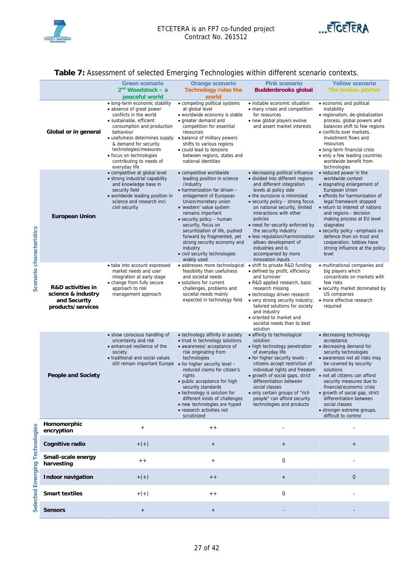



#### **Table 7:** Assessment of selected Emerging Technologies within different scenario contexts.

|                                                                                         |                                                                                                                                                                                                                                                                                                                                                      | ັ                                                                                                                                                                                                                                                                                                                                                                                                                    |                                                                                                                                                                                                                                                                                                                                                                                                                                                                |                                                                                                                                                                                                                                                                                                                                                                                                          |
|-----------------------------------------------------------------------------------------|------------------------------------------------------------------------------------------------------------------------------------------------------------------------------------------------------------------------------------------------------------------------------------------------------------------------------------------------------|----------------------------------------------------------------------------------------------------------------------------------------------------------------------------------------------------------------------------------------------------------------------------------------------------------------------------------------------------------------------------------------------------------------------|----------------------------------------------------------------------------------------------------------------------------------------------------------------------------------------------------------------------------------------------------------------------------------------------------------------------------------------------------------------------------------------------------------------------------------------------------------------|----------------------------------------------------------------------------------------------------------------------------------------------------------------------------------------------------------------------------------------------------------------------------------------------------------------------------------------------------------------------------------------------------------|
|                                                                                         | <b>Green scenario</b><br>2 <sup>nd</sup> Woodstock – a<br>peaceful world                                                                                                                                                                                                                                                                             | <b>Orange scenario</b><br><b>Technology rules the</b><br>world                                                                                                                                                                                                                                                                                                                                                       | <b>Pink scenario</b><br><b>Buddenbrooks global</b>                                                                                                                                                                                                                                                                                                                                                                                                             | <b>Yellow scenario</b><br>The broken pitcher                                                                                                                                                                                                                                                                                                                                                             |
| Global or in general                                                                    | • long-term economic stability<br>• absence of great power<br>conflicts in the world<br>· sustainable, efficient<br>consumption and production<br>behaviour<br>• usefulness determines supply • balance of military powers<br>& demand for security<br>technologies/measures<br>• focus on technologies<br>contributing to needs of<br>everyday life | • competing political systems<br>at global level<br>• worldwide economy is stable<br>• greater demand and<br>competition for essential<br>resources<br>shifts to various regions<br>• could lead to tensions<br>between regions, states and<br>national identities                                                                                                                                                   | • instable economic situation<br>• many crises and competition<br>for resources<br>• new global players evolve<br>and assert market interests                                                                                                                                                                                                                                                                                                                  | • economic and political<br>instability<br>· regionalism, de-globalization<br>process, global powers and<br>balances shift to few regions<br>• conflicts over markets,<br>investment flows and<br>resources<br>• long-term financial crisis<br>• only a few leading countries<br>worldwide benefit from<br>technologies                                                                                  |
| <b>European Union</b>                                                                   | • competitive at global level<br>• strong industrial capability<br>and knowledge base in<br>security field<br>• worldwide leading position in<br>science and research incl.<br>civil security                                                                                                                                                        | • competitive worldwide<br>leading position in science<br>/industry<br>• harmonization far driven -<br>enlagement of European<br>Union/monetary union<br>• 'western' value system<br>remains important<br>• security policy - human<br>security, focus on<br>securitization of life, pushed<br>forward by fragmented, yet<br>strong security economy and<br>industry<br>• civil security technologies<br>widely used | • decreasing political influence<br>· divided into different regions<br>and different integration<br>levels at policy side<br>• the eurozone is minimized<br>• security policy – strong focus<br>on national security, limited<br>interactions with other<br>policies<br>• need for security enforced by<br>the security industry<br>· less regulation/harmonization<br>allows development of<br>industries and is<br>accompanied by more<br>innovation inputs | • reduced power in the<br>worldwide context<br>• stagnating enlargement of<br>European Union<br>• effords for harmonization of<br>legal framework stopped<br>• return to interest of nations<br>and regions - decision<br>making process at EU level<br>stagnates<br>• security policy -emphasis on<br>defence than on trust and<br>cooperation; lobbies have<br>strong influence at the policy<br>level |
| <b>R&amp;D</b> activities in<br>science & industry<br>and Security<br>products/services | • take into account expressed<br>market needs and user<br>integration at early stage<br>• change from fully secure<br>approach to risk<br>management approach                                                                                                                                                                                        | • addresses more technological<br>feasibility than usefulness<br>and societal needs<br>• solutions for current<br>challenges, problems and<br>societal needs mainly<br>expected in technology field                                                                                                                                                                                                                  | • shift to private R&D funding<br>• defined by profit, efficiency<br>and turnover<br>• R&D applied research, basic<br>research missing<br>• technology driven research<br>• very strong security industry,<br>tailored solutions for society<br>and industry<br>• oriented to market and<br>societal needs than to best<br>solution                                                                                                                            | • multinational companies and<br>big players which<br>concentrate on markets with<br>few risks<br>• security market dominated by<br>US companies<br>• more effective research<br>required                                                                                                                                                                                                                |
| <b>People and Society</b>                                                               | • show conscious handling of<br>uncertainty and risk<br>• enhanced resilience of the<br>society<br>• traditional and social values<br>still remain important Europe • for higher security level -                                                                                                                                                    | • technology affinity in society<br>• trust in technology solutions<br>• awareness/ acceptance of<br>risk originating from<br>technologies<br>reduced claims for citizen's<br>rights<br>• public acceptance for high<br>security standards<br>• technology is solution for<br>different kinds of challenges<br>• new technologies are hyped<br>• research activities not<br>scrutinized                              | • affinity to technological<br>solution<br>• high technology penetration<br>of everyday life<br>• for higher security levels -<br>citizens accept restriction of<br>individual rights and freedom<br>• growth of social gaps, strict<br>differentiation between<br>social classes<br>• only certain groups of "rich<br>people" can afford security<br>technologies and products                                                                                | • decreasing technology<br>acceptance<br>• decreasing demand for<br>security technologies<br>• awareness not all risks may<br>be covered by security<br>solutions<br>• not all citizens can afford<br>security measures due to<br>financial/economic crisis<br>• growth of social gap, strict<br>differentiation between<br>social classes<br>• stronger extreme groups,<br>difficult to control         |
| Homomorphic<br>encryption                                                               | $^{+}$                                                                                                                                                                                                                                                                                                                                               | $+ +$                                                                                                                                                                                                                                                                                                                                                                                                                |                                                                                                                                                                                                                                                                                                                                                                                                                                                                |                                                                                                                                                                                                                                                                                                                                                                                                          |
| Cognitive radio                                                                         | $+ (+)$                                                                                                                                                                                                                                                                                                                                              | $^{+}$                                                                                                                                                                                                                                                                                                                                                                                                               | $\qquad \qquad +$                                                                                                                                                                                                                                                                                                                                                                                                                                              | $\qquad \qquad +$                                                                                                                                                                                                                                                                                                                                                                                        |
| Small-scale energy<br>harvesting                                                        | $+ +$                                                                                                                                                                                                                                                                                                                                                | $+$                                                                                                                                                                                                                                                                                                                                                                                                                  | 0                                                                                                                                                                                                                                                                                                                                                                                                                                                              |                                                                                                                                                                                                                                                                                                                                                                                                          |
| Indoor navigation                                                                       | $+(+)$                                                                                                                                                                                                                                                                                                                                               | $+ +$                                                                                                                                                                                                                                                                                                                                                                                                                | $\qquad \qquad +$                                                                                                                                                                                                                                                                                                                                                                                                                                              | $\mathbf{0}$                                                                                                                                                                                                                                                                                                                                                                                             |
| <b>Smart textiles</b>                                                                   | $+ (+)$                                                                                                                                                                                                                                                                                                                                              | $+ +$                                                                                                                                                                                                                                                                                                                                                                                                                | $\mathbf 0$                                                                                                                                                                                                                                                                                                                                                                                                                                                    |                                                                                                                                                                                                                                                                                                                                                                                                          |
| <b>Sensors</b>                                                                          | $\qquad \qquad +$                                                                                                                                                                                                                                                                                                                                    | $\, +$                                                                                                                                                                                                                                                                                                                                                                                                               |                                                                                                                                                                                                                                                                                                                                                                                                                                                                |                                                                                                                                                                                                                                                                                                                                                                                                          |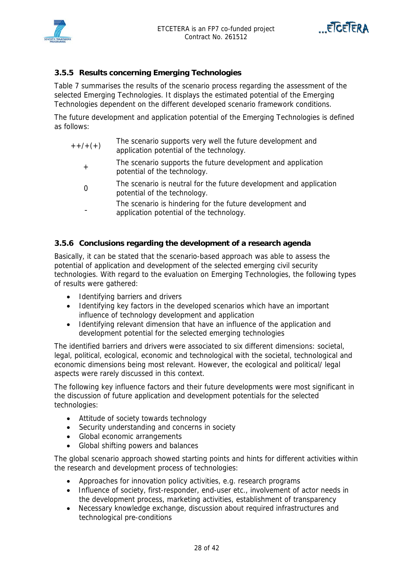



#### **3.5.5 Results concerning Emerging Technologies**

Table 7 summarises the results of the scenario process regarding the assessment of the selected Emerging Technologies. It displays the estimated potential of the Emerging Technologies dependent on the different developed scenario framework conditions.

The future development and application potential of the Emerging Technologies is defined as follows:

| $++/-(+)$ | The scenario supports very well the future development and |
|-----------|------------------------------------------------------------|
|           | application potential of the technology.                   |

- <sup>+</sup>The scenario supports the future development and application potential of the technology.
- The scenario is neutral for the future development and application potential of the technology.
- The scenario is hindering for the future development and application potential of the technology.

#### **3.5.6 Conclusions regarding the development of a research agenda**

Basically, it can be stated that the scenario-based approach was able to assess the potential of application and development of the selected emerging civil security technologies. With regard to the evaluation on Emerging Technologies, the following types of results were gathered:

- Identifying barriers and drivers
- Identifying key factors in the developed scenarios which have an important influence of technology development and application
- Identifying relevant dimension that have an influence of the application and development potential for the selected emerging technologies

The identified barriers and drivers were associated to six different dimensions: societal, legal, political, ecological, economic and technological with the societal, technological and economic dimensions being most relevant. However, the ecological and political/ legal aspects were rarely discussed in this context.

The following key influence factors and their future developments were most significant in the discussion of future application and development potentials for the selected technologies:

- Attitude of society towards technology
- Security understanding and concerns in society
- Global economic arrangements
- Global shifting powers and balances

The global scenario approach showed starting points and hints for different activities within the research and development process of technologies:

- Approaches for innovation policy activities, e.g. research programs
- Influence of society, first-responder, end-user etc., involvement of actor needs in the development process, marketing activities, establishment of transparency
- Necessary knowledge exchange, discussion about required infrastructures and technological pre-conditions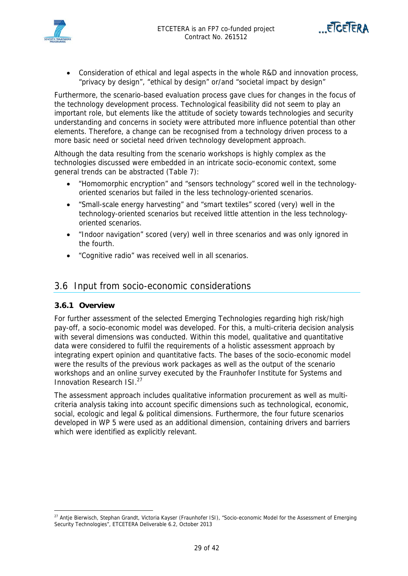



 Consideration of ethical and legal aspects in the whole R&D and innovation process, "privacy by design", "ethical by design" or/and "societal impact by design"

Furthermore, the scenario-based evaluation process gave clues for changes in the focus of the technology development process. Technological feasibility did not seem to play an important role, but elements like the attitude of society towards technologies and security understanding and concerns in society were attributed more influence potential than other elements. Therefore, a change can be recognised from a technology driven process to a more basic need or societal need driven technology development approach.

Although the data resulting from the scenario workshops is highly complex as the technologies discussed were embedded in an intricate socio-economic context, some general trends can be abstracted (Table 7):

- "Homomorphic encryption" and "sensors technology" scored well in the technologyoriented scenarios but failed in the less technology-oriented scenarios.
- "Small-scale energy harvesting" and "smart textiles" scored (very) well in the technology-oriented scenarios but received little attention in the less technologyoriented scenarios.
- "Indoor navigation" scored (very) well in three scenarios and was only ignored in the fourth.
- "Cognitive radio" was received well in all scenarios.

### 3.6 Input from socio-economic considerations

#### **3.6.1 Overview**

For further assessment of the selected Emerging Technologies regarding high risk/high pay-off, a socio-economic model was developed. For this, a multi-criteria decision analysis with several dimensions was conducted. Within this model, qualitative and quantitative data were considered to fulfil the requirements of a holistic assessment approach by integrating expert opinion and quantitative facts. The bases of the socio-economic model were the results of the previous work packages as well as the output of the scenario workshops and an online survey executed by the Fraunhofer Institute for Systems and Innovation Research ISI<sup>27</sup>

The assessment approach includes qualitative information procurement as well as multicriteria analysis taking into account specific dimensions such as technological, economic, social, ecologic and legal & political dimensions. Furthermore, the four future scenarios developed in WP 5 were used as an additional dimension, containing drivers and barriers which were identified as explicitly relevant.

 $\overline{a}$ <sup>27</sup> Antje Bierwisch, Stephan Grandt, Victoria Kayser (Fraunhofer ISI), "Socio-economic Model for the Assessment of Emerging Security Technologies", ETCETERA Deliverable 6.2, October 2013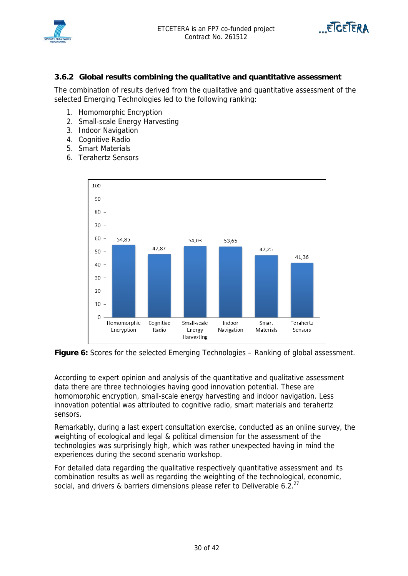



#### **3.6.2 Global results combining the qualitative and quantitative assessment**

The combination of results derived from the qualitative and quantitative assessment of the selected Emerging Technologies led to the following ranking:

- 1. Homomorphic Encryption
- 2. Small-scale Energy Harvesting
- 3. Indoor Navigation
- 4. Cognitive Radio
- 5. Smart Materials
- 6. Terahertz Sensors



Figure 6: Scores for the selected Emerging Technologies – Ranking of global assessment.

According to expert opinion and analysis of the quantitative and qualitative assessment data there are three technologies having good innovation potential. These are homomorphic encryption, small-scale energy harvesting and indoor navigation. Less innovation potential was attributed to cognitive radio, smart materials and terahertz sensors.

Remarkably, during a last expert consultation exercise, conducted as an online survey, the weighting of ecological and legal & political dimension for the assessment of the technologies was surprisingly high, which was rather unexpected having in mind the experiences during the second scenario workshop.

For detailed data regarding the qualitative respectively quantitative assessment and its combination results as well as regarding the weighting of the technological, economic, social, and drivers & barriers dimensions please refer to Deliverable 6.2. $^{27}$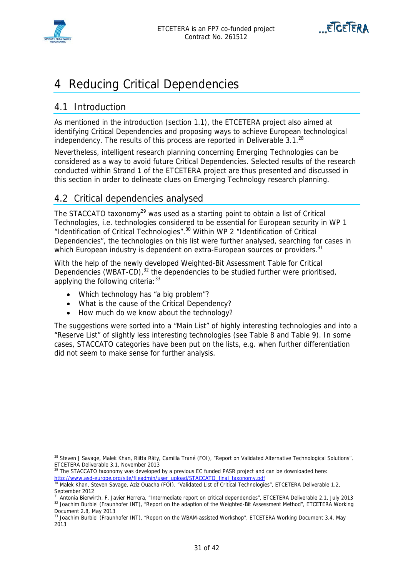



## 4 Reducing Critical Dependencies

## 4.1 Introduction

As mentioned in the introduction (section 1.1), the ETCETERA project also aimed at identifying Critical Dependencies and proposing ways to achieve European technological independency. The results of this process are reported in Deliverable  $3.1<sup>28</sup>$ 

Nevertheless, intelligent research planning concerning Emerging Technologies can be considered as a way to avoid future Critical Dependencies. Selected results of the research conducted within Strand 1 of the ETCETERA project are thus presented and discussed in this section in order to delineate clues on Emerging Technology research planning.

## 4.2 Critical dependencies analysed

The STACCATO taxonomy<sup>29</sup> was used as a starting point to obtain a list of Critical Technologies, i.e. technologies considered to be essential for European security in WP 1 "Identification of Critical Technologies".30 Within WP 2 "Identification of Critical Dependencies", the technologies on this list were further analysed, searching for cases in which European industry is dependent on extra-European sources or providers.<sup>31</sup>

With the help of the newly developed Weighted-Bit Assessment Table for Critical Dependencies (WBAT-CD), $32$  the dependencies to be studied further were prioritised, applying the following criteria: 33

- Which technology has "a big problem"?
- What is the cause of the Critical Dependency?
- How much do we know about the technology?

The suggestions were sorted into a "Main List" of highly interesting technologies and into a "Reserve List" of slightly less interesting technologies (see Table 8 and Table 9). In some cases, STACCATO categories have been put on the lists, e.g. when further differentiation did not seem to make sense for further analysis.

<sup>29</sup> The STACCATO taxonomy was developed by a previous EC funded PASR project and can be downloaded here: http://www.asd-europe.org/site/fileadmin/user\_upload/STACCATO\_final\_taxonomy.pdf

 $\overline{a}$ <sup>28</sup> Steven J Savage, Malek Khan, Riitta Räty, Camilla Trané (FOI), "Report on Validated Alternative Technological Solutions", ETCETERA Deliverable 3.1, November 2013

<sup>30</sup> Malek Khan, Steven Savage, Aziz Ouacha (FOI), "Validated List of Critical Technologies", ETCETERA Deliverable 1.2, September 2012

 $31$  Antonia Bierwirth, F. Javier Herrera, "Intermediate report on critical dependencies", ETCETERA Deliverable 2.1, July 2013<br> $32$  Joachim Burbiel (Fraunhofer INT), "Report on the adaption of the Weighted-Bit Assessment Document 2.8, May 2013

<sup>33</sup> Joachim Burbiel (Fraunhofer INT), "Report on the WBAM-assisted Workshop", ETCETERA Working Document 3.4, May 2013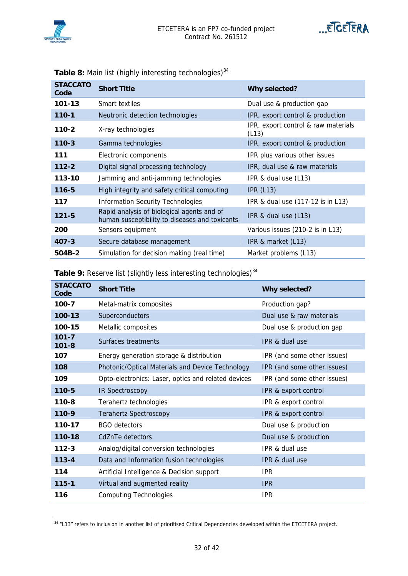



| <b>STACCATO</b><br>Code | <b>Short Title</b>                                                                           | Why selected?                                |  |
|-------------------------|----------------------------------------------------------------------------------------------|----------------------------------------------|--|
| 101-13                  | Smart textiles                                                                               | Dual use & production gap                    |  |
| $110 - 1$               | Neutronic detection technologies                                                             | IPR, export control & production             |  |
| 110-2                   | X-ray technologies                                                                           | IPR, export control & raw materials<br>(L13) |  |
| $110 - 3$               | Gamma technologies                                                                           | IPR, export control & production             |  |
| 111                     | Electronic components                                                                        | IPR plus various other issues                |  |
| $112 - 2$               | Digital signal processing technology                                                         | IPR, dual use & raw materials                |  |
| 113-10                  | Jamming and anti-jamming technologies                                                        | IPR & dual use (L13)                         |  |
| $116 - 5$               | High integrity and safety critical computing                                                 | IPR(L13)                                     |  |
| 117                     | <b>Information Security Technologies</b>                                                     | IPR & dual use (117-12 is in L13)            |  |
| $121 - 5$               | Rapid analysis of biological agents and of<br>human susceptibility to diseases and toxicants | IPR & dual use (L13)                         |  |
| 200                     | Sensors equipment                                                                            | Various issues (210-2 is in L13)             |  |
| $407 - 3$               | Secure database management                                                                   | IPR & market (L13)                           |  |
| 504B-2                  | Simulation for decision making (real time)                                                   | Market problems (L13)                        |  |

Table 8: Main list (highly interesting technologies)<sup>34</sup>

| Table 9: Reserve list (slightly less interesting technologies) <sup>34</sup> |  |
|------------------------------------------------------------------------------|--|
|------------------------------------------------------------------------------|--|

| <b>STACCATO</b><br>Code | <b>Short Title</b>                                  | Why selected?               |
|-------------------------|-----------------------------------------------------|-----------------------------|
| $100 - 7$               | Metal-matrix composites                             | Production gap?             |
| 100-13                  | Superconductors                                     | Dual use & raw materials    |
| 100-15                  | Metallic composites                                 | Dual use & production gap   |
| $101 - 7$<br>$101 - 8$  | Surfaces treatments                                 | <b>IPR &amp; dual use</b>   |
| 107                     | Energy generation storage & distribution            | IPR (and some other issues) |
| 108                     | Photonic/Optical Materials and Device Technology    | IPR (and some other issues) |
| 109                     | Opto-electronics: Laser, optics and related devices | IPR (and some other issues) |
| 110-5                   | IR Spectroscopy                                     | IPR & export control        |
| $110 - 8$               | Terahertz technologies                              | IPR & export control        |
| 110-9                   | <b>Terahertz Spectroscopy</b>                       | IPR & export control        |
| 110-17                  | <b>BGO</b> detectors                                | Dual use & production       |
| 110-18                  | CdZnTe detectors                                    | Dual use & production       |
| $112 - 3$               | Analog/digital conversion technologies              | IPR & dual use              |
| $113 - 4$               | Data and Information fusion technologies            | <b>IPR &amp; dual use</b>   |
| 114                     | Artificial Intelligence & Decision support          | <b>IPR</b>                  |
| $115 - 1$               | Virtual and augmented reality                       | <b>IPR</b>                  |
| 116                     | <b>Computing Technologies</b>                       | <b>IPR</b>                  |

<sup>&</sup>lt;sup>34</sup> "L13" refers to inclusion in another list of prioritised Critical Dependencies developed within the ETCETERA project.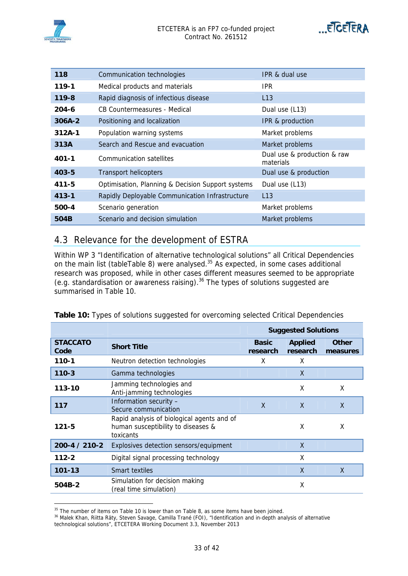

| 118       | Communication technologies                        | IPR & dual use                           |
|-----------|---------------------------------------------------|------------------------------------------|
| $119 - 1$ | Medical products and materials                    | IPR.                                     |
| $119 - 8$ | Rapid diagnosis of infectious disease             | L13                                      |
| $204 - 6$ | CB Countermeasures - Medical                      | Dual use (L13)                           |
| $306A-2$  | Positioning and localization                      | IPR & production                         |
| $312A-1$  | Population warning systems                        | Market problems                          |
| 313A      | Search and Rescue and evacuation                  | Market problems                          |
| $401 - 1$ | Communication satellites                          | Dual use & production & raw<br>materials |
| $403 - 5$ | <b>Transport helicopters</b>                      | Dual use & production                    |
| $411 - 5$ | Optimisation, Planning & Decision Support systems | Dual use (L13)                           |
| $413 - 1$ | Rapidly Deployable Communication Infrastructure   | L13                                      |
| 500-4     | Scenario generation                               | Market problems                          |
| 504B      | Scenario and decision simulation                  | Market problems                          |

## 4.3 Relevance for the development of ESTRA

Within WP 3 "Identification of alternative technological solutions" all Critical Dependencies on the main list (tableTable 8) were analysed. $35$  As expected, in some cases additional research was proposed, while in other cases different measures seemed to be appropriate (e.g. standardisation or awareness raising).<sup>36</sup> The types of solutions suggested are summarised in Table 10.

|                         |                                                                                               | <b>Suggested Solutions</b> |                            |                          |
|-------------------------|-----------------------------------------------------------------------------------------------|----------------------------|----------------------------|--------------------------|
| <b>STACCATO</b><br>Code | <b>Short Title</b>                                                                            | <b>Basic</b><br>research   | <b>Applied</b><br>research | <b>Other</b><br>measures |
| 110-1                   | Neutron detection technologies                                                                | x                          | X                          |                          |
| $110 - 3$               | Gamma technologies                                                                            |                            | X                          |                          |
| 113-10                  | Jamming technologies and<br>Anti-jamming technologies                                         |                            | X                          | X                        |
| 117                     | Information security -<br>Secure communication                                                | X                          | X                          | X                        |
| $121 - 5$               | Rapid analysis of biological agents and of<br>human susceptibility to diseases &<br>toxicants |                            | X                          | X                        |
| 200-4 / 210-2           | Explosives detection sensors/equipment                                                        |                            | $\sf X$                    |                          |
| $112 - 2$               | Digital signal processing technology                                                          |                            | X                          |                          |
| 101-13                  | Smart textiles                                                                                |                            | $\sf X$                    | X                        |
| 504B-2                  | Simulation for decision making<br>(real time simulation)                                      |                            | X                          |                          |

|  |  |  |  |  | Table 10: Types of solutions suggested for overcoming selected Critical Dependencies |
|--|--|--|--|--|--------------------------------------------------------------------------------------|
|  |  |  |  |  |                                                                                      |

 $\overline{a}$ 

<sup>&</sup>lt;sup>35</sup> The number of items on Table 10 is lower than on Table 8, as some items have been joined.<br><sup>36</sup> Malek Khan, Riitta Räty, Steven Savage, Camilla Trané (FOI), "Identification and in-depth analysis of alternative technological solutions", ETCETERA Working Document 3.3, November 2013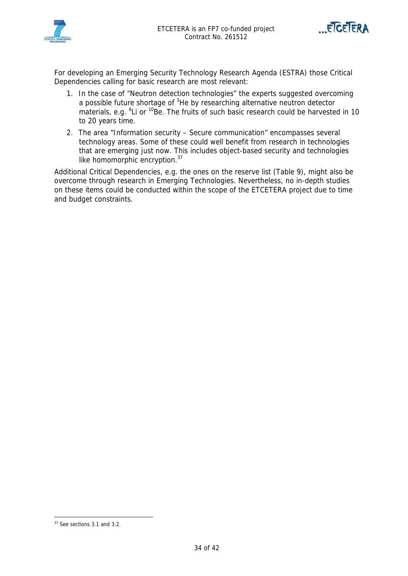



For developing an Emerging Security Technology Research Agenda (ESTRA) those Critical Dependencies calling for basic research are most relevant:

- 1. In the case of "Neutron detection technologies" the experts suggested overcoming a possible future shortage of <sup>3</sup>He by researching alternative neutron detector materials, e.g. <sup>6</sup>Li or <sup>10</sup>Be. The fruits of such basic research could be harvested in 10 to 20 years time.
- 2. The area "Information security Secure communication" encompasses several technology areas. Some of these could well benefit from research in technologies that are emerging just now. This includes object-based security and technologies like homomorphic encryption.<sup>37</sup>

Additional Critical Dependencies, e.g. the ones on the reserve list (Table 9), might also be overcome through research in Emerging Technologies. Nevertheless, no in-depth studies on these items could be conducted within the scope of the ETCETERA project due to time and budget constraints.

 $\overline{a}$ 

<sup>37</sup> See sections 3.1 and 3.2.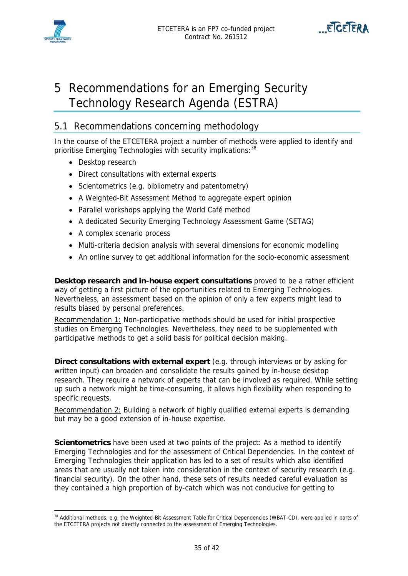



## 5 Recommendations for an Emerging Security Technology Research Agenda (ESTRA)

## 5.1 Recommendations concerning methodology

In the course of the ETCETERA project a number of methods were applied to identify and prioritise Emerging Technologies with security implications: 38

- Desktop research
- Direct consultations with external experts
- Scientometrics (e.g. bibliometry and patentometry)
- A Weighted-Bit Assessment Method to aggregate expert opinion
- Parallel workshops applying the World Café method
- A dedicated Security Emerging Technology Assessment Game (SETAG)
- A complex scenario process
- Multi-criteria decision analysis with several dimensions for economic modelling
- An online survey to get additional information for the socio-economic assessment

**Desktop research and in-house expert consultations** proved to be a rather efficient way of getting a first picture of the opportunities related to Emerging Technologies. Nevertheless, an assessment based on the opinion of only a few experts might lead to results biased by personal preferences.

Recommendation 1: Non-participative methods should be used for initial prospective studies on Emerging Technologies. Nevertheless, they need to be supplemented with participative methods to get a solid basis for political decision making.

**Direct consultations with external expert** (e.g. through interviews or by asking for written input) can broaden and consolidate the results gained by in-house desktop research. They require a network of experts that can be involved as required. While setting up such a network might be time-consuming, it allows high flexibility when responding to specific requests.

Recommendation 2: Building a network of highly qualified external experts is demanding but may be a good extension of in-house expertise.

**Scientometrics** have been used at two points of the project: As a method to identify Emerging Technologies and for the assessment of Critical Dependencies. In the context of Emerging Technologies their application has led to a set of results which also identified areas that are usually not taken into consideration in the context of security research (e.g. financial security). On the other hand, these sets of results needed careful evaluation as they contained a high proportion of by-catch which was not conducive for getting to

 $\overline{a}$ <sup>38</sup> Additional methods, e.g. the Weighted-Bit Assessment Table for Critical Dependencies (WBAT-CD), were applied in parts of the ETCETERA projects not directly connected to the assessment of Emerging Technologies.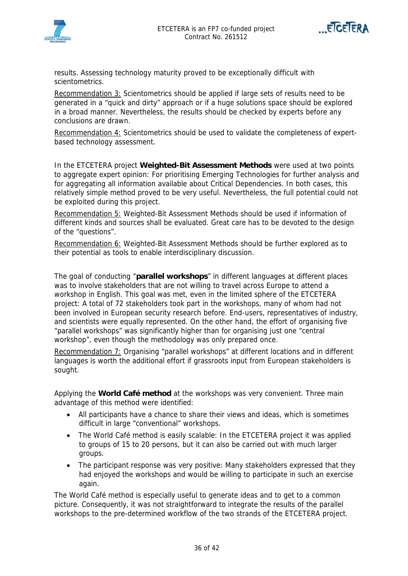



results. Assessing technology maturity proved to be exceptionally difficult with scientometrics.

Recommendation 3: Scientometrics should be applied if large sets of results need to be generated in a "quick and dirty" approach or if a huge solutions space should be explored in a broad manner. Nevertheless, the results should be checked by experts before any conclusions are drawn.

Recommendation 4: Scientometrics should be used to validate the completeness of expertbased technology assessment.

In the ETCETERA project **Weighted-Bit Assessment Methods** were used at two points to aggregate expert opinion: For prioritising Emerging Technologies for further analysis and for aggregating all information available about Critical Dependencies. In both cases, this relatively simple method proved to be very useful. Nevertheless, the full potential could not be exploited during this project.

Recommendation 5: Weighted-Bit Assessment Methods should be used if information of different kinds and sources shall be evaluated. Great care has to be devoted to the design of the "questions".

Recommendation 6: Weighted-Bit Assessment Methods should be further explored as to their potential as tools to enable interdisciplinary discussion.

The goal of conducting "**parallel workshops**" in different languages at different places was to involve stakeholders that are not willing to travel across Europe to attend a workshop in English. This goal was met, even in the limited sphere of the ETCETERA project: A total of 72 stakeholders took part in the workshops, many of whom had not been involved in European security research before. End-users, representatives of industry, and scientists were equally represented. On the other hand, the effort of organising five "parallel workshops" was significantly higher than for organising just one "central workshop", even though the methodology was only prepared once.

Recommendation 7: Organising "parallel workshops" at different locations and in different languages is worth the additional effort if grassroots input from European stakeholders is sought.

Applying the **World Café method** at the workshops was very convenient. Three main advantage of this method were identified:

- All participants have a chance to share their views and ideas, which is sometimes difficult in large "conventional" workshops.
- The World Café method is easily scalable: In the ETCETERA project it was applied to groups of 15 to 20 persons, but it can also be carried out with much larger groups.
- The participant response was very positive: Many stakeholders expressed that they had enjoyed the workshops and would be willing to participate in such an exercise again.

The World Café method is especially useful to generate ideas and to get to a common picture. Consequently, it was not straightforward to integrate the results of the parallel workshops to the pre-determined workflow of the two strands of the ETCETERA project.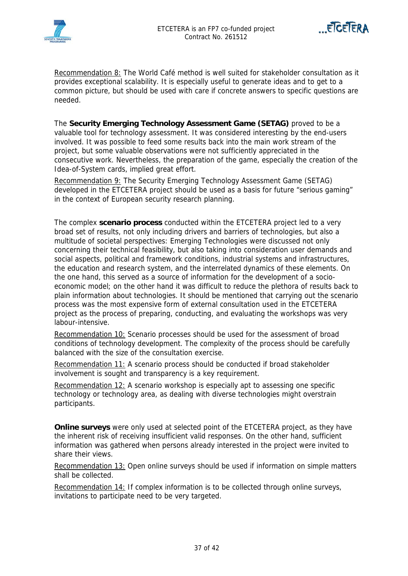



Recommendation 8: The World Café method is well suited for stakeholder consultation as it provides exceptional scalability. It is especially useful to generate ideas and to get to a common picture, but should be used with care if concrete answers to specific questions are needed.

The **Security Emerging Technology Assessment Game (SETAG)** proved to be a valuable tool for technology assessment. It was considered interesting by the end-users involved. It was possible to feed some results back into the main work stream of the project, but some valuable observations were not sufficiently appreciated in the consecutive work. Nevertheless, the preparation of the game, especially the creation of the Idea-of-System cards, implied great effort.

Recommendation 9: The Security Emerging Technology Assessment Game (SETAG) developed in the ETCETERA project should be used as a basis for future "serious gaming" in the context of European security research planning.

The complex **scenario process** conducted within the ETCETERA project led to a very broad set of results, not only including drivers and barriers of technologies, but also a multitude of societal perspectives: Emerging Technologies were discussed not only concerning their technical feasibility, but also taking into consideration user demands and social aspects, political and framework conditions, industrial systems and infrastructures, the education and research system, and the interrelated dynamics of these elements. On the one hand, this served as a source of information for the development of a socioeconomic model; on the other hand it was difficult to reduce the plethora of results back to plain information about technologies. It should be mentioned that carrying out the scenario process was the most expensive form of external consultation used in the ETCETERA project as the process of preparing, conducting, and evaluating the workshops was very labour-intensive.

Recommendation 10: Scenario processes should be used for the assessment of broad conditions of technology development. The complexity of the process should be carefully balanced with the size of the consultation exercise.

Recommendation 11: A scenario process should be conducted if broad stakeholder involvement is sought and transparency is a key requirement.

Recommendation 12: A scenario workshop is especially apt to assessing one specific technology or technology area, as dealing with diverse technologies might overstrain participants.

**Online surveys** were only used at selected point of the ETCETERA project, as they have the inherent risk of receiving insufficient valid responses. On the other hand, sufficient information was gathered when persons already interested in the project were invited to share their views.

Recommendation 13: Open online surveys should be used if information on simple matters shall be collected.

Recommendation 14: If complex information is to be collected through online surveys, invitations to participate need to be very targeted.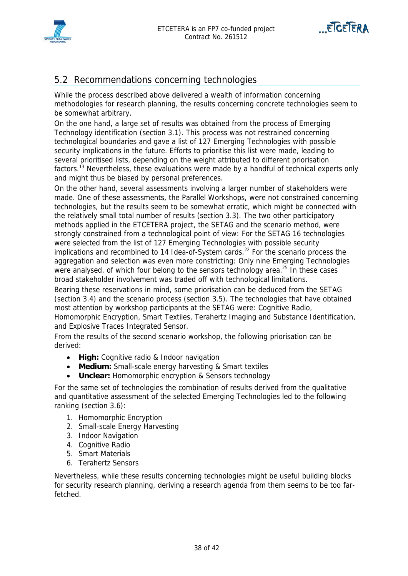



## 5.2 Recommendations concerning technologies

While the process described above delivered a wealth of information concerning methodologies for research planning, the results concerning concrete technologies seem to be somewhat arbitrary.

On the one hand, a large set of results was obtained from the process of Emerging Technology identification (section 3.1). This process was not restrained concerning technological boundaries and gave a list of 127 Emerging Technologies with possible security implications in the future. Efforts to prioritise this list were made, leading to several prioritised lists, depending on the weight attributed to different priorisation factors.<sup>13</sup> Nevertheless, these evaluations were made by a handful of technical experts only and might thus be biased by personal preferences.

On the other hand, several assessments involving a larger number of stakeholders were made. One of these assessments, the Parallel Workshops, were not constrained concerning technologies, but the results seem to be somewhat erratic, which might be connected with the relatively small total number of results (section 3.3). The two other participatory methods applied in the ETCETERA project, the SETAG and the scenario method, were strongly constrained from a technological point of view: For the SETAG 16 technologies were selected from the list of 127 Emerging Technologies with possible security implications and recombined to 14 Idea-of-System cards.<sup>22</sup> For the scenario process the aggregation and selection was even more constricting: Only nine Emerging Technologies were analysed, of which four belong to the sensors technology area.<sup>25</sup> In these cases broad stakeholder involvement was traded off with technological limitations.

Bearing these reservations in mind, some priorisation can be deduced from the SETAG (section 3.4) and the scenario process (section 3.5). The technologies that have obtained most attention by workshop participants at the SETAG were: Cognitive Radio, Homomorphic Encryption, Smart Textiles, Terahertz Imaging and Substance Identification, and Explosive Traces Integrated Sensor.

From the results of the second scenario workshop, the following priorisation can be derived:

- **High:** Cognitive radio & Indoor navigation
- **Medium:** Small-scale energy harvesting & Smart textiles
- **Unclear:** Homomorphic encryption & Sensors technology

For the same set of technologies the combination of results derived from the qualitative and quantitative assessment of the selected Emerging Technologies led to the following ranking (section 3.6):

- 1. Homomorphic Encryption
- 2. Small-scale Energy Harvesting
- 3. Indoor Navigation
- 4. Cognitive Radio
- 5. Smart Materials
- 6. Terahertz Sensors

Nevertheless, while these results concerning technologies might be useful building blocks for security research planning, deriving a research agenda from them seems to be too farfetched.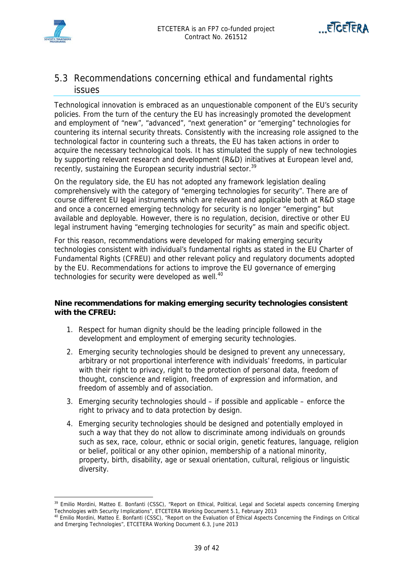



## 5.3 Recommendations concerning ethical and fundamental rights issues

Technological innovation is embraced as an unquestionable component of the EU's security policies. From the turn of the century the EU has increasingly promoted the development and employment of "new", "advanced", "next generation" or "emerging" technologies for countering its internal security threats. Consistently with the increasing role assigned to the technological factor in countering such a threats, the EU has taken actions in order to acquire the necessary technological tools. It has stimulated the supply of new technologies by supporting relevant research and development (R&D) initiatives at European level and, recently, sustaining the European security industrial sector.<sup>39</sup>

On the regulatory side, the EU has not adopted any framework legislation dealing comprehensively with the category of "emerging technologies for security". There are of course different EU legal instruments which are relevant and applicable both at R&D stage and once a concerned emerging technology for security is no longer "emerging" but available and deployable. However, there is no regulation, decision, directive or other EU legal instrument having "emerging technologies for security" as main and specific object.

For this reason, recommendations were developed for making emerging security technologies consistent with individual's fundamental rights as stated in the EU Charter of Fundamental Rights (CFREU) and other relevant policy and regulatory documents adopted by the EU. Recommendations for actions to improve the EU governance of emerging technologies for security were developed as well.<sup>40</sup>

#### **Nine recommendations for making emerging security technologies consistent with the CFREU:**

- 1. Respect for human dignity should be the leading principle followed in the development and employment of emerging security technologies.
- 2. Emerging security technologies should be designed to prevent any unnecessary, arbitrary or not proportional interference with individuals' freedoms, in particular with their right to privacy, right to the protection of personal data, freedom of thought, conscience and religion, freedom of expression and information, and freedom of assembly and of association.
- 3. Emerging security technologies should if possible and applicable enforce the right to privacy and to data protection by design.
- 4. Emerging security technologies should be designed and potentially employed in such a way that they do not allow to discriminate among individuals on grounds such as sex, race, colour, ethnic or social origin, genetic features, language, religion or belief, political or any other opinion, membership of a national minority, property, birth, disability, age or sexual orientation, cultural, religious or linguistic diversity.

<sup>&</sup>lt;sup>39</sup> Emilio Mordini, Matteo E. Bonfanti (CSSC), "Report on Ethical, Political, Legal and Societal aspects concerning Emerging

Technologies with Security Implications", ETCETERA Working Document 5.1, February 2013<br><sup>40</sup> Emilio Mordini, Matteo E. Bonfanti (CSSC), "Report on the Evaluation of Ethical Aspects Concerning the Findings on Critical and Emerging Technologies", ETCETERA Working Document 6.3, June 2013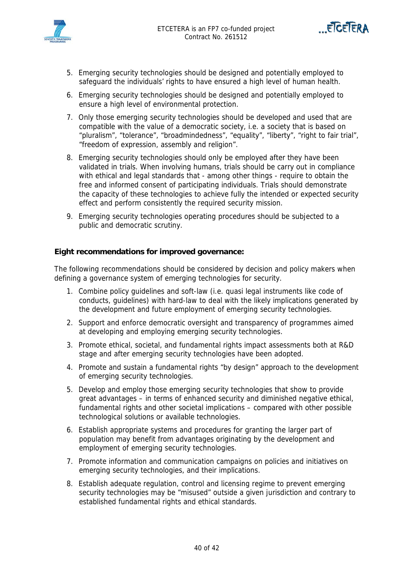





- 5. Emerging security technologies should be designed and potentially employed to safeguard the individuals' rights to have ensured a high level of human health.
- 6. Emerging security technologies should be designed and potentially employed to ensure a high level of environmental protection.
- 7. Only those emerging security technologies should be developed and used that are compatible with the value of a democratic society, i.e. a society that is based on "pluralism", "tolerance", "broadmindedness", "equality", "liberty", "right to fair trial", "freedom of expression, assembly and religion".
- 8. Emerging security technologies should only be employed after they have been validated in trials. When involving humans, trials should be carry out in compliance with ethical and legal standards that - among other things - require to obtain the free and informed consent of participating individuals. Trials should demonstrate the capacity of these technologies to achieve fully the intended or expected security effect and perform consistently the required security mission.
- 9. Emerging security technologies operating procedures should be subjected to a public and democratic scrutiny.

#### **Eight recommendations for improved governance:**

The following recommendations should be considered by decision and policy makers when defining a governance system of emerging technologies for security.

- 1. Combine policy guidelines and soft-law (i.e. quasi legal instruments like code of conducts, guidelines) with hard-law to deal with the likely implications generated by the development and future employment of emerging security technologies.
- 2. Support and enforce democratic oversight and transparency of programmes aimed at developing and employing emerging security technologies.
- 3. Promote ethical, societal, and fundamental rights impact assessments both at R&D stage and after emerging security technologies have been adopted.
- 4. Promote and sustain a fundamental rights "by design" approach to the development of emerging security technologies.
- 5. Develop and employ those emerging security technologies that show to provide great advantages – in terms of enhanced security and diminished negative ethical, fundamental rights and other societal implications – compared with other possible technological solutions or available technologies.
- 6. Establish appropriate systems and procedures for granting the larger part of population may benefit from advantages originating by the development and employment of emerging security technologies.
- 7. Promote information and communication campaigns on policies and initiatives on emerging security technologies, and their implications.
- 8. Establish adequate regulation, control and licensing regime to prevent emerging security technologies may be "misused" outside a given jurisdiction and contrary to established fundamental rights and ethical standards.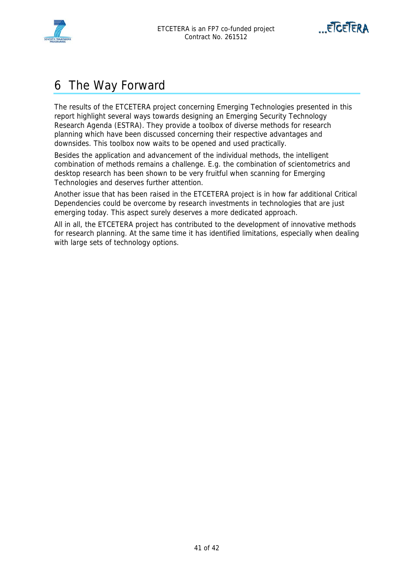



## 6 The Way Forward

The results of the ETCETERA project concerning Emerging Technologies presented in this report highlight several ways towards designing an Emerging Security Technology Research Agenda (ESTRA). They provide a toolbox of diverse methods for research planning which have been discussed concerning their respective advantages and downsides. This toolbox now waits to be opened and used practically.

Besides the application and advancement of the individual methods, the intelligent combination of methods remains a challenge. E.g. the combination of scientometrics and desktop research has been shown to be very fruitful when scanning for Emerging Technologies and deserves further attention.

Another issue that has been raised in the ETCETERA project is in how far additional Critical Dependencies could be overcome by research investments in technologies that are just emerging today. This aspect surely deserves a more dedicated approach.

All in all, the ETCETERA project has contributed to the development of innovative methods for research planning. At the same time it has identified limitations, especially when dealing with large sets of technology options.